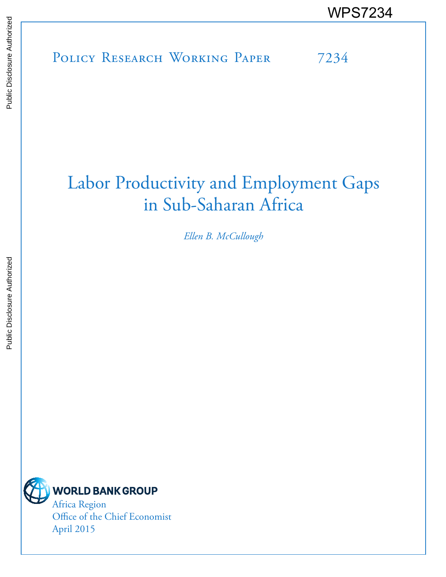POLICY RESEARCH WORKING PAPER 7234 WPS7234<br>
Media<br>
Media<br>
Policy Research Working Paper 7234<br>
Policy Research Working Paper 7234

# Labor Productivity and Employment Gaps in Sub-Saharan Africa

*Ellen B. McCullough*



Africa Region Office of the Chief Economist April 2015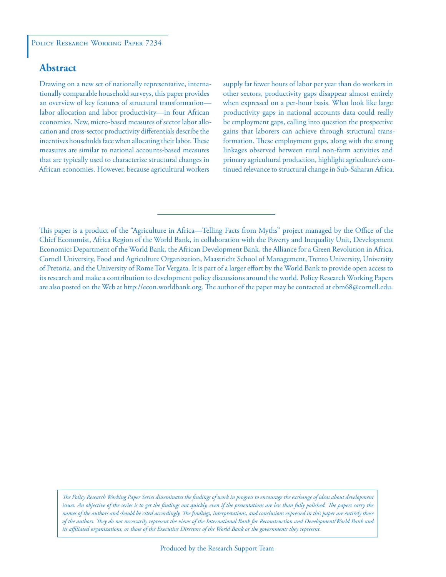# **Abstract**

Drawing on a new set of nationally representative, internationally comparable household surveys, this paper provides an overview of key features of structural transformation labor allocation and labor productivity—in four African economies. New, micro-based measures of sector labor allocation and cross-sector productivity differentials describe the incentives households face when allocating their labor. These measures are similar to national accounts-based measures that are typically used to characterize structural changes in African economies. However, because agricultural workers

supply far fewer hours of labor per year than do workers in other sectors, productivity gaps disappear almost entirely when expressed on a per-hour basis. What look like large productivity gaps in national accounts data could really be employment gaps, calling into question the prospective gains that laborers can achieve through structural transformation. These employment gaps, along with the strong linkages observed between rural non-farm activities and primary agricultural production, highlight agriculture's continued relevance to structural change in Sub-Saharan Africa.

*The Policy Research Working Paper Series disseminates the findings of work in progress to encourage the exchange of ideas about development*  issues. An objective of the series is to get the findings out quickly, even if the presentations are less than fully polished. The papers carry the *names of the authors and should be cited accordingly. The findings, interpretations, and conclusions expressed in this paper are entirely those of the authors. They do not necessarily represent the views of the International Bank for Reconstruction and Development/World Bank and its affiliated organizations, or those of the Executive Directors of the World Bank or the governments they represent.*

This paper is a product of the "Agriculture in Africa—Telling Facts from Myths" project managed by the Office of the Chief Economist, Africa Region of the World Bank, in collaboration with the Poverty and Inequality Unit, Development Economics Department of the World Bank, the African Development Bank, the Alliance for a Green Revolution in Africa, Cornell University, Food and Agriculture Organization, Maastricht School of Management, Trento University, University of Pretoria, and the University of Rome Tor Vergata. It is part of a larger effort by the World Bank to provide open access to its research and make a contribution to development policy discussions around the world. Policy Research Working Papers are also posted on the Web at http://econ.worldbank.org. The author of the paper may be contacted at ebm68@cornell.edu.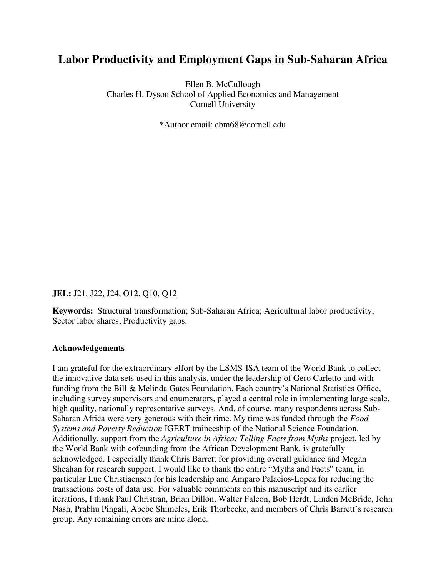# **Labor Productivity and Employment Gaps in Sub-Saharan Africa**

Ellen B. McCullough Charles H. Dyson School of Applied Economics and Management Cornell University

\*Author email: ebm68@cornell.edu

**JEL:** J21, J22, J24, O12, Q10, Q12

**Keywords:** Structural transformation; Sub-Saharan Africa; Agricultural labor productivity; Sector labor shares; Productivity gaps.

#### **Acknowledgements**

I am grateful for the extraordinary effort by the LSMS-ISA team of the World Bank to collect the innovative data sets used in this analysis, under the leadership of Gero Carletto and with funding from the Bill & Melinda Gates Foundation. Each country's National Statistics Office, including survey supervisors and enumerators, played a central role in implementing large scale, high quality, nationally representative surveys. And, of course, many respondents across Sub-Saharan Africa were very generous with their time. My time was funded through the *Food Systems and Poverty Reduction* IGERT traineeship of the National Science Foundation. Additionally, support from the *Agriculture in Africa: Telling Facts from Myths* project, led by the World Bank with cofounding from the African Development Bank, is gratefully acknowledged. I especially thank Chris Barrett for providing overall guidance and Megan Sheahan for research support. I would like to thank the entire "Myths and Facts" team, in particular Luc Christiaensen for his leadership and Amparo Palacios-Lopez for reducing the transactions costs of data use. For valuable comments on this manuscript and its earlier iterations, I thank Paul Christian, Brian Dillon, Walter Falcon, Bob Herdt, Linden McBride, John Nash, Prabhu Pingali, Abebe Shimeles, Erik Thorbecke, and members of Chris Barrett's research group. Any remaining errors are mine alone.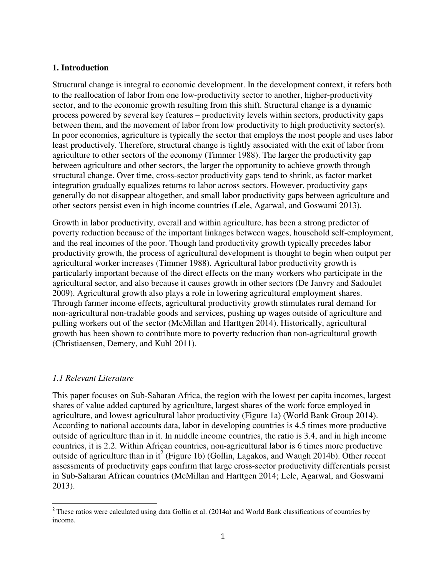#### **1. Introduction**

Structural change is integral to economic development. In the development context, it refers both to the reallocation of labor from one low-productivity sector to another, higher-productivity sector, and to the economic growth resulting from this shift. Structural change is a dynamic process powered by several key features – productivity levels within sectors, productivity gaps between them, and the movement of labor from low productivity to high productivity sector(s). In poor economies, agriculture is typically the sector that employs the most people and uses labor least productively. Therefore, structural change is tightly associated with the exit of labor from agriculture to other sectors of the economy (Timmer 1988). The larger the productivity gap between agriculture and other sectors, the larger the opportunity to achieve growth through structural change. Over time, cross-sector productivity gaps tend to shrink, as factor market integration gradually equalizes returns to labor across sectors. However, productivity gaps generally do not disappear altogether, and small labor productivity gaps between agriculture and other sectors persist even in high income countries (Lele, Agarwal, and Goswami 2013).

Growth in labor productivity, overall and within agriculture, has been a strong predictor of poverty reduction because of the important linkages between wages, household self-employment, and the real incomes of the poor. Though land productivity growth typically precedes labor productivity growth, the process of agricultural development is thought to begin when output per agricultural worker increases (Timmer 1988). Agricultural labor productivity growth is particularly important because of the direct effects on the many workers who participate in the agricultural sector, and also because it causes growth in other sectors (De Janvry and Sadoulet 2009). Agricultural growth also plays a role in lowering agricultural employment shares. Through farmer income effects, agricultural productivity growth stimulates rural demand for non-agricultural non-tradable goods and services, pushing up wages outside of agriculture and pulling workers out of the sector (McMillan and Harttgen 2014). Historically, agricultural growth has been shown to contribute more to poverty reduction than non-agricultural growth (Christiaensen, Demery, and Kuhl 2011).

#### *1.1 Relevant Literature*

 $\overline{a}$ 

This paper focuses on Sub-Saharan Africa, the region with the lowest per capita incomes, largest shares of value added captured by agriculture, largest shares of the work force employed in agriculture, and lowest agricultural labor productivity (Figure 1a) (World Bank Group 2014). According to national accounts data, labor in developing countries is 4.5 times more productive outside of agriculture than in it. In middle income countries, the ratio is 3.4, and in high income countries, it is 2.2. Within African countries, non-agricultural labor is 6 times more productive outside of agriculture than in it<sup>2</sup> (Figure 1b) (Gollin, Lagakos, and Waugh 2014b). Other recent assessments of productivity gaps confirm that large cross-sector productivity differentials persist in Sub-Saharan African countries (McMillan and Harttgen 2014; Lele, Agarwal, and Goswami 2013).

 $2$  These ratios were calculated using data Gollin et al. (2014a) and World Bank classifications of countries by income.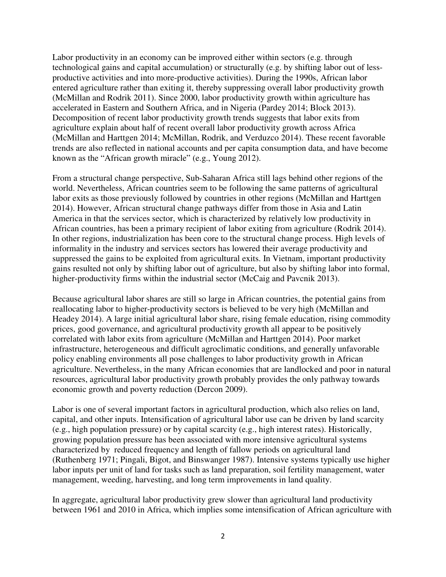Labor productivity in an economy can be improved either within sectors (e.g. through technological gains and capital accumulation) or structurally (e.g. by shifting labor out of lessproductive activities and into more-productive activities). During the 1990s, African labor entered agriculture rather than exiting it, thereby suppressing overall labor productivity growth (McMillan and Rodrik 2011). Since 2000, labor productivity growth within agriculture has accelerated in Eastern and Southern Africa, and in Nigeria (Pardey 2014; Block 2013). Decomposition of recent labor productivity growth trends suggests that labor exits from agriculture explain about half of recent overall labor productivity growth across Africa (McMillan and Harttgen 2014; McMillan, Rodrik, and Verduzco 2014). These recent favorable trends are also reflected in national accounts and per capita consumption data, and have become known as the "African growth miracle" (e.g., Young 2012).

From a structural change perspective, Sub-Saharan Africa still lags behind other regions of the world. Nevertheless, African countries seem to be following the same patterns of agricultural labor exits as those previously followed by countries in other regions (McMillan and Harttgen 2014). However, African structural change pathways differ from those in Asia and Latin America in that the services sector, which is characterized by relatively low productivity in African countries, has been a primary recipient of labor exiting from agriculture (Rodrik 2014). In other regions, industrialization has been core to the structural change process. High levels of informality in the industry and services sectors has lowered their average productivity and suppressed the gains to be exploited from agricultural exits. In Vietnam, important productivity gains resulted not only by shifting labor out of agriculture, but also by shifting labor into formal, higher-productivity firms within the industrial sector (McCaig and Pavcnik 2013).

Because agricultural labor shares are still so large in African countries, the potential gains from reallocating labor to higher-productivity sectors is believed to be very high (McMillan and Headey 2014). A large initial agricultural labor share, rising female education, rising commodity prices, good governance, and agricultural productivity growth all appear to be positively correlated with labor exits from agriculture (McMillan and Harttgen 2014). Poor market infrastructure, heterogeneous and difficult agroclimatic conditions, and generally unfavorable policy enabling environments all pose challenges to labor productivity growth in African agriculture. Nevertheless, in the many African economies that are landlocked and poor in natural resources, agricultural labor productivity growth probably provides the only pathway towards economic growth and poverty reduction (Dercon 2009).

Labor is one of several important factors in agricultural production, which also relies on land, capital, and other inputs. Intensification of agricultural labor use can be driven by land scarcity (e.g., high population pressure) or by capital scarcity (e.g., high interest rates). Historically, growing population pressure has been associated with more intensive agricultural systems characterized by reduced frequency and length of fallow periods on agricultural land (Ruthenberg 1971; Pingali, Bigot, and Binswanger 1987). Intensive systems typically use higher labor inputs per unit of land for tasks such as land preparation, soil fertility management, water management, weeding, harvesting, and long term improvements in land quality.

In aggregate, agricultural labor productivity grew slower than agricultural land productivity between 1961 and 2010 in Africa, which implies some intensification of African agriculture with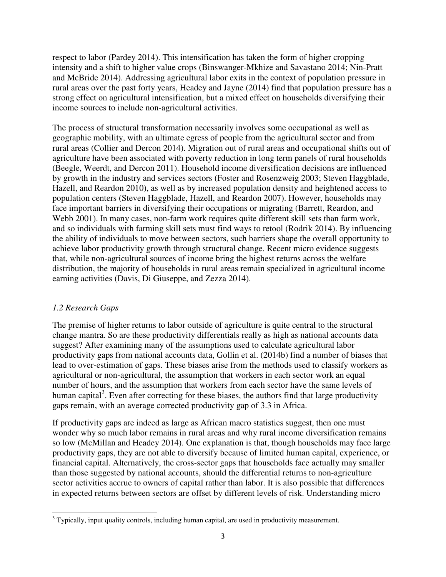respect to labor (Pardey 2014). This intensification has taken the form of higher cropping intensity and a shift to higher value crops (Binswanger-Mkhize and Savastano 2014; Nin-Pratt and McBride 2014). Addressing agricultural labor exits in the context of population pressure in rural areas over the past forty years, Headey and Jayne (2014) find that population pressure has a strong effect on agricultural intensification, but a mixed effect on households diversifying their income sources to include non-agricultural activities.

The process of structural transformation necessarily involves some occupational as well as geographic mobility, with an ultimate egress of people from the agricultural sector and from rural areas (Collier and Dercon 2014). Migration out of rural areas and occupational shifts out of agriculture have been associated with poverty reduction in long term panels of rural households (Beegle, Weerdt, and Dercon 2011). Household income diversification decisions are influenced by growth in the industry and services sectors (Foster and Rosenzweig 2003; Steven Haggblade, Hazell, and Reardon 2010), as well as by increased population density and heightened access to population centers (Steven Haggblade, Hazell, and Reardon 2007). However, households may face important barriers in diversifying their occupations or migrating (Barrett, Reardon, and Webb 2001). In many cases, non-farm work requires quite different skill sets than farm work, and so individuals with farming skill sets must find ways to retool (Rodrik 2014). By influencing the ability of individuals to move between sectors, such barriers shape the overall opportunity to achieve labor productivity growth through structural change. Recent micro evidence suggests that, while non-agricultural sources of income bring the highest returns across the welfare distribution, the majority of households in rural areas remain specialized in agricultural income earning activities (Davis, Di Giuseppe, and Zezza 2014).

# *1.2 Research Gaps*

l

The premise of higher returns to labor outside of agriculture is quite central to the structural change mantra. So are these productivity differentials really as high as national accounts data suggest? After examining many of the assumptions used to calculate agricultural labor productivity gaps from national accounts data, Gollin et al. (2014b) find a number of biases that lead to over-estimation of gaps. These biases arise from the methods used to classify workers as agricultural or non-agricultural, the assumption that workers in each sector work an equal number of hours, and the assumption that workers from each sector have the same levels of human capital<sup>3</sup>. Even after correcting for these biases, the authors find that large productivity gaps remain, with an average corrected productivity gap of 3.3 in Africa.

If productivity gaps are indeed as large as African macro statistics suggest, then one must wonder why so much labor remains in rural areas and why rural income diversification remains so low (McMillan and Headey 2014). One explanation is that, though households may face large productivity gaps, they are not able to diversify because of limited human capital, experience, or financial capital. Alternatively, the cross-sector gaps that households face actually may smaller than those suggested by national accounts, should the differential returns to non-agriculture sector activities accrue to owners of capital rather than labor. It is also possible that differences in expected returns between sectors are offset by different levels of risk. Understanding micro

 $3$  Typically, input quality controls, including human capital, are used in productivity measurement.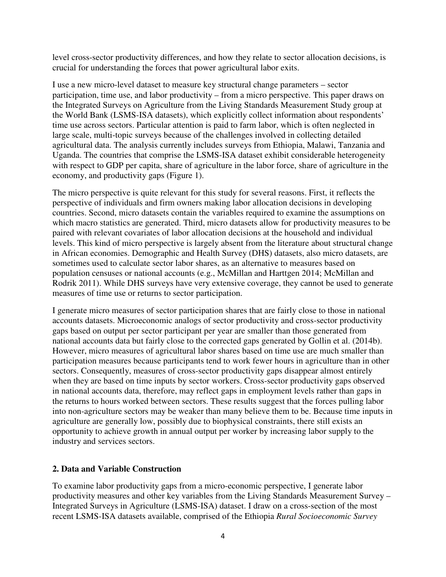level cross-sector productivity differences, and how they relate to sector allocation decisions, is crucial for understanding the forces that power agricultural labor exits.

I use a new micro-level dataset to measure key structural change parameters – sector participation, time use, and labor productivity – from a micro perspective. This paper draws on the Integrated Surveys on Agriculture from the Living Standards Measurement Study group at the World Bank (LSMS-ISA datasets), which explicitly collect information about respondents' time use across sectors. Particular attention is paid to farm labor, which is often neglected in large scale, multi-topic surveys because of the challenges involved in collecting detailed agricultural data. The analysis currently includes surveys from Ethiopia, Malawi, Tanzania and Uganda. The countries that comprise the LSMS-ISA dataset exhibit considerable heterogeneity with respect to GDP per capita, share of agriculture in the labor force, share of agriculture in the economy, and productivity gaps (Figure 1).

The micro perspective is quite relevant for this study for several reasons. First, it reflects the perspective of individuals and firm owners making labor allocation decisions in developing countries. Second, micro datasets contain the variables required to examine the assumptions on which macro statistics are generated. Third, micro datasets allow for productivity measures to be paired with relevant covariates of labor allocation decisions at the household and individual levels. This kind of micro perspective is largely absent from the literature about structural change in African economies. Demographic and Health Survey (DHS) datasets, also micro datasets, are sometimes used to calculate sector labor shares, as an alternative to measures based on population censuses or national accounts (e.g., McMillan and Harttgen 2014; McMillan and Rodrik 2011). While DHS surveys have very extensive coverage, they cannot be used to generate measures of time use or returns to sector participation.

I generate micro measures of sector participation shares that are fairly close to those in national accounts datasets. Microeconomic analogs of sector productivity and cross-sector productivity gaps based on output per sector participant per year are smaller than those generated from national accounts data but fairly close to the corrected gaps generated by Gollin et al. (2014b). However, micro measures of agricultural labor shares based on time use are much smaller than participation measures because participants tend to work fewer hours in agriculture than in other sectors. Consequently, measures of cross-sector productivity gaps disappear almost entirely when they are based on time inputs by sector workers. Cross-sector productivity gaps observed in national accounts data, therefore, may reflect gaps in employment levels rather than gaps in the returns to hours worked between sectors. These results suggest that the forces pulling labor into non-agriculture sectors may be weaker than many believe them to be. Because time inputs in agriculture are generally low, possibly due to biophysical constraints, there still exists an opportunity to achieve growth in annual output per worker by increasing labor supply to the industry and services sectors.

#### **2. Data and Variable Construction**

To examine labor productivity gaps from a micro-economic perspective, I generate labor productivity measures and other key variables from the Living Standards Measurement Survey – Integrated Surveys in Agriculture (LSMS-ISA) dataset. I draw on a cross-section of the most recent LSMS-ISA datasets available, comprised of the Ethiopia *Rural Socioeconomic Survey*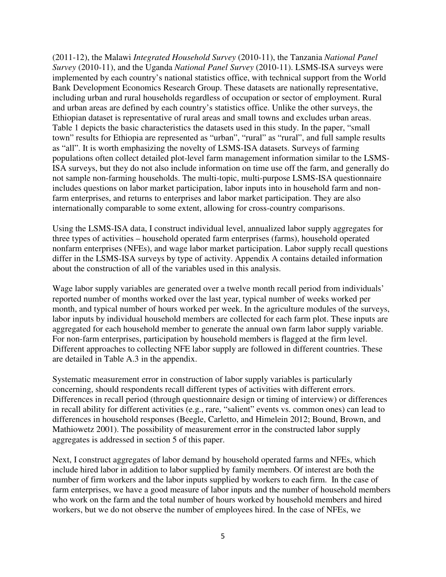(2011-12), the Malawi *Integrated Household Survey* (2010-11), the Tanzania *National Panel Survey* (2010-11), and the Uganda *National Panel Survey* (2010-11). LSMS-ISA surveys were implemented by each country's national statistics office, with technical support from the World Bank Development Economics Research Group. These datasets are nationally representative, including urban and rural households regardless of occupation or sector of employment. Rural and urban areas are defined by each country's statistics office. Unlike the other surveys, the Ethiopian dataset is representative of rural areas and small towns and excludes urban areas. Table 1 depicts the basic characteristics the datasets used in this study. In the paper, "small town" results for Ethiopia are represented as "urban", "rural" as "rural", and full sample results as "all". It is worth emphasizing the novelty of LSMS-ISA datasets. Surveys of farming populations often collect detailed plot-level farm management information similar to the LSMS-ISA surveys, but they do not also include information on time use off the farm, and generally do not sample non-farming households. The multi-topic, multi-purpose LSMS-ISA questionnaire includes questions on labor market participation, labor inputs into in household farm and nonfarm enterprises, and returns to enterprises and labor market participation. They are also internationally comparable to some extent, allowing for cross-country comparisons.

Using the LSMS-ISA data, I construct individual level, annualized labor supply aggregates for three types of activities – household operated farm enterprises (farms), household operated nonfarm enterprises (NFEs), and wage labor market participation. Labor supply recall questions differ in the LSMS-ISA surveys by type of activity. Appendix A contains detailed information about the construction of all of the variables used in this analysis.

Wage labor supply variables are generated over a twelve month recall period from individuals' reported number of months worked over the last year, typical number of weeks worked per month, and typical number of hours worked per week. In the agriculture modules of the surveys, labor inputs by individual household members are collected for each farm plot. These inputs are aggregated for each household member to generate the annual own farm labor supply variable. For non-farm enterprises, participation by household members is flagged at the firm level. Different approaches to collecting NFE labor supply are followed in different countries. These are detailed in Table A.3 in the appendix.

Systematic measurement error in construction of labor supply variables is particularly concerning, should respondents recall different types of activities with different errors. Differences in recall period (through questionnaire design or timing of interview) or differences in recall ability for different activities (e.g., rare, "salient" events vs. common ones) can lead to differences in household responses (Beegle, Carletto, and Himelein 2012; Bound, Brown, and Mathiowetz 2001). The possibility of measurement error in the constructed labor supply aggregates is addressed in section 5 of this paper.

Next, I construct aggregates of labor demand by household operated farms and NFEs, which include hired labor in addition to labor supplied by family members. Of interest are both the number of firm workers and the labor inputs supplied by workers to each firm. In the case of farm enterprises, we have a good measure of labor inputs and the number of household members who work on the farm and the total number of hours worked by household members and hired workers, but we do not observe the number of employees hired. In the case of NFEs, we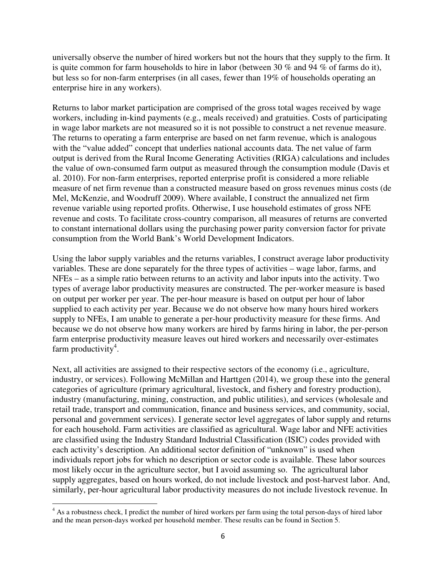universally observe the number of hired workers but not the hours that they supply to the firm. It is quite common for farm households to hire in labor (between 30 % and 94 % of farms do it), but less so for non-farm enterprises (in all cases, fewer than 19% of households operating an enterprise hire in any workers).

Returns to labor market participation are comprised of the gross total wages received by wage workers, including in-kind payments (e.g., meals received) and gratuities. Costs of participating in wage labor markets are not measured so it is not possible to construct a net revenue measure. The returns to operating a farm enterprise are based on net farm revenue, which is analogous with the "value added" concept that underlies national accounts data. The net value of farm output is derived from the Rural Income Generating Activities (RIGA) calculations and includes the value of own-consumed farm output as measured through the consumption module (Davis et al. 2010). For non-farm enterprises, reported enterprise profit is considered a more reliable measure of net firm revenue than a constructed measure based on gross revenues minus costs (de Mel, McKenzie, and Woodruff 2009). Where available, I construct the annualized net firm revenue variable using reported profits. Otherwise, I use household estimates of gross NFE revenue and costs. To facilitate cross-country comparison, all measures of returns are converted to constant international dollars using the purchasing power parity conversion factor for private consumption from the World Bank's World Development Indicators.

Using the labor supply variables and the returns variables, I construct average labor productivity variables. These are done separately for the three types of activities – wage labor, farms, and NFEs – as a simple ratio between returns to an activity and labor inputs into the activity. Two types of average labor productivity measures are constructed. The per-worker measure is based on output per worker per year. The per-hour measure is based on output per hour of labor supplied to each activity per year. Because we do not observe how many hours hired workers supply to NFEs, I am unable to generate a per-hour productivity measure for these firms. And because we do not observe how many workers are hired by farms hiring in labor, the per-person farm enterprise productivity measure leaves out hired workers and necessarily over-estimates farm productivity<sup>4</sup>.

Next, all activities are assigned to their respective sectors of the economy (i.e., agriculture, industry, or services). Following McMillan and Harttgen (2014), we group these into the general categories of agriculture (primary agricultural, livestock, and fishery and forestry production), industry (manufacturing, mining, construction, and public utilities), and services (wholesale and retail trade, transport and communication, finance and business services, and community, social, personal and government services). I generate sector level aggregates of labor supply and returns for each household. Farm activities are classified as agricultural. Wage labor and NFE activities are classified using the Industry Standard Industrial Classification (ISIC) codes provided with each activity's description. An additional sector definition of "unknown" is used when individuals report jobs for which no description or sector code is available. These labor sources most likely occur in the agriculture sector, but I avoid assuming so. The agricultural labor supply aggregates, based on hours worked, do not include livestock and post-harvest labor. And, similarly, per-hour agricultural labor productivity measures do not include livestock revenue. In

<sup>&</sup>lt;sup>4</sup> As a robustness check, I predict the number of hired workers per farm using the total person-days of hired labor and the mean person-days worked per household member. These results can be found in Section 5.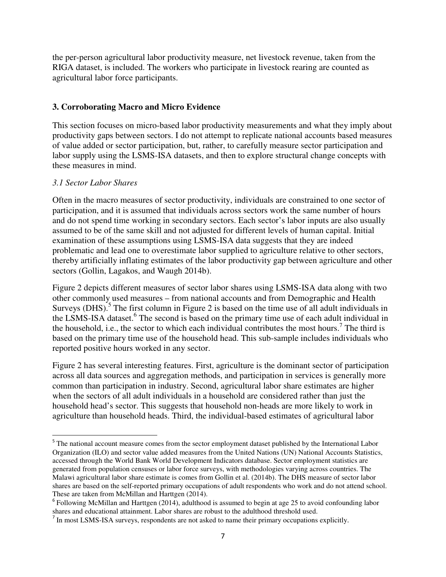the per-person agricultural labor productivity measure, net livestock revenue, taken from the RIGA dataset, is included. The workers who participate in livestock rearing are counted as agricultural labor force participants.

#### **3. Corroborating Macro and Micro Evidence**

This section focuses on micro-based labor productivity measurements and what they imply about productivity gaps between sectors. I do not attempt to replicate national accounts based measures of value added or sector participation, but, rather, to carefully measure sector participation and labor supply using the LSMS-ISA datasets, and then to explore structural change concepts with these measures in mind.

#### *3.1 Sector Labor Shares*

 $\overline{a}$ 

Often in the macro measures of sector productivity, individuals are constrained to one sector of participation, and it is assumed that individuals across sectors work the same number of hours and do not spend time working in secondary sectors. Each sector's labor inputs are also usually assumed to be of the same skill and not adjusted for different levels of human capital. Initial examination of these assumptions using LSMS-ISA data suggests that they are indeed problematic and lead one to overestimate labor supplied to agriculture relative to other sectors, thereby artificially inflating estimates of the labor productivity gap between agriculture and other sectors (Gollin, Lagakos, and Waugh 2014b).

Figure 2 depicts different measures of sector labor shares using LSMS-ISA data along with two other commonly used measures – from national accounts and from Demographic and Health Surveys (DHS).<sup>5</sup> The first column in Figure 2 is based on the time use of all adult individuals in the LSMS-ISA dataset.<sup>6</sup> The second is based on the primary time use of each adult individual in the household, i.e., the sector to which each individual contributes the most hours.<sup>7</sup> The third is based on the primary time use of the household head. This sub-sample includes individuals who reported positive hours worked in any sector.

Figure 2 has several interesting features. First, agriculture is the dominant sector of participation across all data sources and aggregation methods, and participation in services is generally more common than participation in industry. Second, agricultural labor share estimates are higher when the sectors of all adult individuals in a household are considered rather than just the household head's sector. This suggests that household non-heads are more likely to work in agriculture than household heads. Third, the individual-based estimates of agricultural labor

<sup>&</sup>lt;sup>5</sup> The national account measure comes from the sector employment dataset published by the International Labor Organization (ILO) and sector value added measures from the United Nations (UN) National Accounts Statistics, accessed through the World Bank World Development Indicators database. Sector employment statistics are generated from population censuses or labor force surveys, with methodologies varying across countries. The Malawi agricultural labor share estimate is comes from Gollin et al. (2014b). The DHS measure of sector labor shares are based on the self-reported primary occupations of adult respondents who work and do not attend school. These are taken from McMillan and Harttgen (2014).

 $6$  Following McMillan and Harttgen (2014), adulthood is assumed to begin at age 25 to avoid confounding labor shares and educational attainment. Labor shares are robust to the adulthood threshold used.

 $<sup>7</sup>$  In most LSMS-ISA surveys, respondents are not asked to name their primary occupations explicitly.</sup>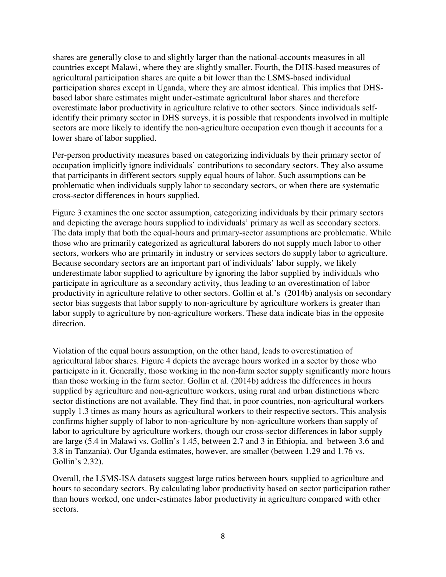shares are generally close to and slightly larger than the national-accounts measures in all countries except Malawi, where they are slightly smaller. Fourth, the DHS-based measures of agricultural participation shares are quite a bit lower than the LSMS-based individual participation shares except in Uganda, where they are almost identical. This implies that DHSbased labor share estimates might under-estimate agricultural labor shares and therefore overestimate labor productivity in agriculture relative to other sectors. Since individuals selfidentify their primary sector in DHS surveys, it is possible that respondents involved in multiple sectors are more likely to identify the non-agriculture occupation even though it accounts for a lower share of labor supplied.

Per-person productivity measures based on categorizing individuals by their primary sector of occupation implicitly ignore individuals' contributions to secondary sectors. They also assume that participants in different sectors supply equal hours of labor. Such assumptions can be problematic when individuals supply labor to secondary sectors, or when there are systematic cross-sector differences in hours supplied.

Figure 3 examines the one sector assumption, categorizing individuals by their primary sectors and depicting the average hours supplied to individuals' primary as well as secondary sectors. The data imply that both the equal-hours and primary-sector assumptions are problematic. While those who are primarily categorized as agricultural laborers do not supply much labor to other sectors, workers who are primarily in industry or services sectors do supply labor to agriculture. Because secondary sectors are an important part of individuals' labor supply, we likely underestimate labor supplied to agriculture by ignoring the labor supplied by individuals who participate in agriculture as a secondary activity, thus leading to an overestimation of labor productivity in agriculture relative to other sectors. Gollin et al.'s (2014b) analysis on secondary sector bias suggests that labor supply to non-agriculture by agriculture workers is greater than labor supply to agriculture by non-agriculture workers. These data indicate bias in the opposite direction.

Violation of the equal hours assumption, on the other hand, leads to overestimation of agricultural labor shares. Figure 4 depicts the average hours worked in a sector by those who participate in it. Generally, those working in the non-farm sector supply significantly more hours than those working in the farm sector. Gollin et al. (2014b) address the differences in hours supplied by agriculture and non-agriculture workers, using rural and urban distinctions where sector distinctions are not available. They find that, in poor countries, non-agricultural workers supply 1.3 times as many hours as agricultural workers to their respective sectors. This analysis confirms higher supply of labor to non-agriculture by non-agriculture workers than supply of labor to agriculture by agriculture workers, though our cross-sector differences in labor supply are large (5.4 in Malawi vs. Gollin's 1.45, between 2.7 and 3 in Ethiopia, and between 3.6 and 3.8 in Tanzania). Our Uganda estimates, however, are smaller (between 1.29 and 1.76 vs. Gollin's 2.32).

Overall, the LSMS-ISA datasets suggest large ratios between hours supplied to agriculture and hours to secondary sectors. By calculating labor productivity based on sector participation rather than hours worked, one under-estimates labor productivity in agriculture compared with other sectors.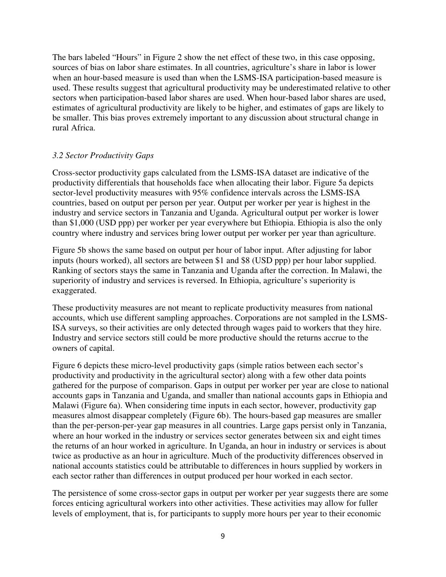The bars labeled "Hours" in Figure 2 show the net effect of these two, in this case opposing, sources of bias on labor share estimates. In all countries, agriculture's share in labor is lower when an hour-based measure is used than when the LSMS-ISA participation-based measure is used. These results suggest that agricultural productivity may be underestimated relative to other sectors when participation-based labor shares are used. When hour-based labor shares are used, estimates of agricultural productivity are likely to be higher, and estimates of gaps are likely to be smaller. This bias proves extremely important to any discussion about structural change in rural Africa.

#### *3.2 Sector Productivity Gaps*

Cross-sector productivity gaps calculated from the LSMS-ISA dataset are indicative of the productivity differentials that households face when allocating their labor. Figure 5a depicts sector-level productivity measures with 95% confidence intervals across the LSMS-ISA countries, based on output per person per year. Output per worker per year is highest in the industry and service sectors in Tanzania and Uganda. Agricultural output per worker is lower than \$1,000 (USD ppp) per worker per year everywhere but Ethiopia. Ethiopia is also the only country where industry and services bring lower output per worker per year than agriculture.

Figure 5b shows the same based on output per hour of labor input. After adjusting for labor inputs (hours worked), all sectors are between \$1 and \$8 (USD ppp) per hour labor supplied. Ranking of sectors stays the same in Tanzania and Uganda after the correction. In Malawi, the superiority of industry and services is reversed. In Ethiopia, agriculture's superiority is exaggerated.

These productivity measures are not meant to replicate productivity measures from national accounts, which use different sampling approaches. Corporations are not sampled in the LSMS-ISA surveys, so their activities are only detected through wages paid to workers that they hire. Industry and service sectors still could be more productive should the returns accrue to the owners of capital.

Figure 6 depicts these micro-level productivity gaps (simple ratios between each sector's productivity and productivity in the agricultural sector) along with a few other data points gathered for the purpose of comparison. Gaps in output per worker per year are close to national accounts gaps in Tanzania and Uganda, and smaller than national accounts gaps in Ethiopia and Malawi (Figure 6a). When considering time inputs in each sector, however, productivity gap measures almost disappear completely (Figure 6b). The hours-based gap measures are smaller than the per-person-per-year gap measures in all countries. Large gaps persist only in Tanzania, where an hour worked in the industry or services sector generates between six and eight times the returns of an hour worked in agriculture. In Uganda, an hour in industry or services is about twice as productive as an hour in agriculture. Much of the productivity differences observed in national accounts statistics could be attributable to differences in hours supplied by workers in each sector rather than differences in output produced per hour worked in each sector.

The persistence of some cross-sector gaps in output per worker per year suggests there are some forces enticing agricultural workers into other activities. These activities may allow for fuller levels of employment, that is, for participants to supply more hours per year to their economic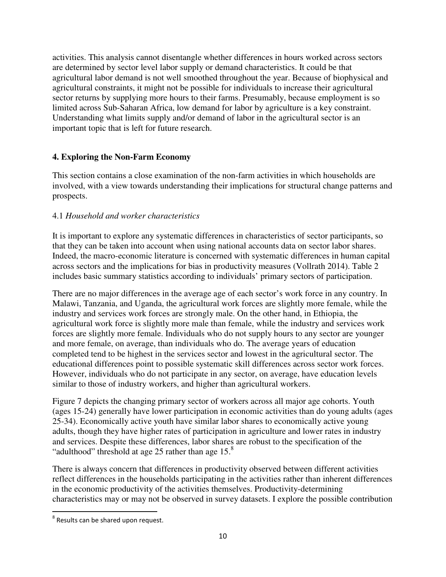activities. This analysis cannot disentangle whether differences in hours worked across sectors are determined by sector level labor supply or demand characteristics. It could be that agricultural labor demand is not well smoothed throughout the year. Because of biophysical and agricultural constraints, it might not be possible for individuals to increase their agricultural sector returns by supplying more hours to their farms. Presumably, because employment is so limited across Sub-Saharan Africa, low demand for labor by agriculture is a key constraint. Understanding what limits supply and/or demand of labor in the agricultural sector is an important topic that is left for future research.

# **4. Exploring the Non-Farm Economy**

This section contains a close examination of the non-farm activities in which households are involved, with a view towards understanding their implications for structural change patterns and prospects.

# 4.1 *Household and worker characteristics*

It is important to explore any systematic differences in characteristics of sector participants, so that they can be taken into account when using national accounts data on sector labor shares. Indeed, the macro-economic literature is concerned with systematic differences in human capital across sectors and the implications for bias in productivity measures (Vollrath 2014). Table 2 includes basic summary statistics according to individuals' primary sectors of participation.

There are no major differences in the average age of each sector's work force in any country. In Malawi, Tanzania, and Uganda, the agricultural work forces are slightly more female, while the industry and services work forces are strongly male. On the other hand, in Ethiopia, the agricultural work force is slightly more male than female, while the industry and services work forces are slightly more female. Individuals who do not supply hours to any sector are younger and more female, on average, than individuals who do. The average years of education completed tend to be highest in the services sector and lowest in the agricultural sector. The educational differences point to possible systematic skill differences across sector work forces. However, individuals who do not participate in any sector, on average, have education levels similar to those of industry workers, and higher than agricultural workers.

Figure 7 depicts the changing primary sector of workers across all major age cohorts. Youth (ages 15-24) generally have lower participation in economic activities than do young adults (ages 25-34). Economically active youth have similar labor shares to economically active young adults, though they have higher rates of participation in agriculture and lower rates in industry and services. Despite these differences, labor shares are robust to the specification of the "adulthood" threshold at age 25 rather than age  $15<sup>8</sup>$ 

There is always concern that differences in productivity observed between different activities reflect differences in the households participating in the activities rather than inherent differences in the economic productivity of the activities themselves. Productivity-determining characteristics may or may not be observed in survey datasets. I explore the possible contribution

-

 $8$  Results can be shared upon request.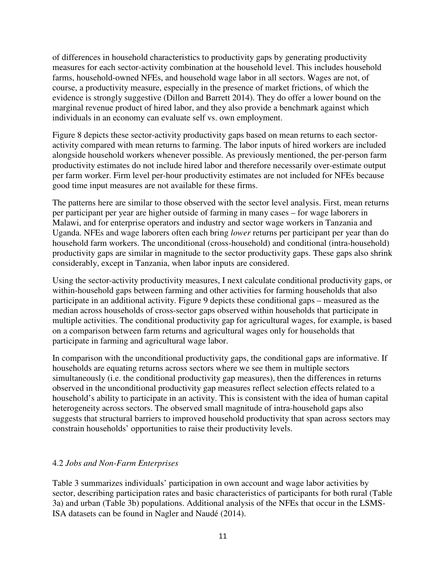of differences in household characteristics to productivity gaps by generating productivity measures for each sector-activity combination at the household level. This includes household farms, household-owned NFEs, and household wage labor in all sectors. Wages are not, of course, a productivity measure, especially in the presence of market frictions, of which the evidence is strongly suggestive (Dillon and Barrett 2014). They do offer a lower bound on the marginal revenue product of hired labor, and they also provide a benchmark against which individuals in an economy can evaluate self vs. own employment.

Figure 8 depicts these sector-activity productivity gaps based on mean returns to each sectoractivity compared with mean returns to farming. The labor inputs of hired workers are included alongside household workers whenever possible. As previously mentioned, the per-person farm productivity estimates do not include hired labor and therefore necessarily over-estimate output per farm worker. Firm level per-hour productivity estimates are not included for NFEs because good time input measures are not available for these firms.

The patterns here are similar to those observed with the sector level analysis. First, mean returns per participant per year are higher outside of farming in many cases – for wage laborers in Malawi, and for enterprise operators and industry and sector wage workers in Tanzania and Uganda. NFEs and wage laborers often each bring *lower* returns per participant per year than do household farm workers. The unconditional (cross-household) and conditional (intra-household) productivity gaps are similar in magnitude to the sector productivity gaps. These gaps also shrink considerably, except in Tanzania, when labor inputs are considered.

Using the sector-activity productivity measures, I next calculate conditional productivity gaps, or within-household gaps between farming and other activities for farming households that also participate in an additional activity. Figure 9 depicts these conditional gaps – measured as the median across households of cross-sector gaps observed within households that participate in multiple activities. The conditional productivity gap for agricultural wages, for example, is based on a comparison between farm returns and agricultural wages only for households that participate in farming and agricultural wage labor.

In comparison with the unconditional productivity gaps, the conditional gaps are informative. If households are equating returns across sectors where we see them in multiple sectors simultaneously (i.e. the conditional productivity gap measures), then the differences in returns observed in the unconditional productivity gap measures reflect selection effects related to a household's ability to participate in an activity. This is consistent with the idea of human capital heterogeneity across sectors. The observed small magnitude of intra-household gaps also suggests that structural barriers to improved household productivity that span across sectors may constrain households' opportunities to raise their productivity levels.

# 4.2 *Jobs and Non-Farm Enterprises*

Table 3 summarizes individuals' participation in own account and wage labor activities by sector, describing participation rates and basic characteristics of participants for both rural (Table 3a) and urban (Table 3b) populations. Additional analysis of the NFEs that occur in the LSMS-ISA datasets can be found in Nagler and Naudé (2014).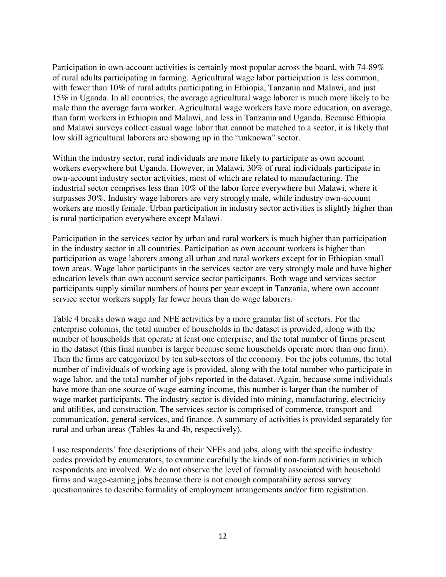Participation in own-account activities is certainly most popular across the board, with 74-89% of rural adults participating in farming. Agricultural wage labor participation is less common, with fewer than 10% of rural adults participating in Ethiopia, Tanzania and Malawi, and just 15% in Uganda. In all countries, the average agricultural wage laborer is much more likely to be male than the average farm worker. Agricultural wage workers have more education, on average, than farm workers in Ethiopia and Malawi, and less in Tanzania and Uganda. Because Ethiopia and Malawi surveys collect casual wage labor that cannot be matched to a sector, it is likely that low skill agricultural laborers are showing up in the "unknown" sector.

Within the industry sector, rural individuals are more likely to participate as own account workers everywhere but Uganda. However, in Malawi, 30% of rural individuals participate in own-account industry sector activities, most of which are related to manufacturing. The industrial sector comprises less than 10% of the labor force everywhere but Malawi, where it surpasses 30%. Industry wage laborers are very strongly male, while industry own-account workers are mostly female. Urban participation in industry sector activities is slightly higher than is rural participation everywhere except Malawi.

Participation in the services sector by urban and rural workers is much higher than participation in the industry sector in all countries. Participation as own account workers is higher than participation as wage laborers among all urban and rural workers except for in Ethiopian small town areas. Wage labor participants in the services sector are very strongly male and have higher education levels than own account service sector participants. Both wage and services sector participants supply similar numbers of hours per year except in Tanzania, where own account service sector workers supply far fewer hours than do wage laborers.

Table 4 breaks down wage and NFE activities by a more granular list of sectors. For the enterprise columns, the total number of households in the dataset is provided, along with the number of households that operate at least one enterprise, and the total number of firms present in the dataset (this final number is larger because some households operate more than one firm). Then the firms are categorized by ten sub-sectors of the economy. For the jobs columns, the total number of individuals of working age is provided, along with the total number who participate in wage labor, and the total number of jobs reported in the dataset. Again, because some individuals have more than one source of wage-earning income, this number is larger than the number of wage market participants. The industry sector is divided into mining, manufacturing, electricity and utilities, and construction. The services sector is comprised of commerce, transport and communication, general services, and finance. A summary of activities is provided separately for rural and urban areas (Tables 4a and 4b, respectively).

I use respondents' free descriptions of their NFEs and jobs, along with the specific industry codes provided by enumerators, to examine carefully the kinds of non-farm activities in which respondents are involved. We do not observe the level of formality associated with household firms and wage-earning jobs because there is not enough comparability across survey questionnaires to describe formality of employment arrangements and/or firm registration.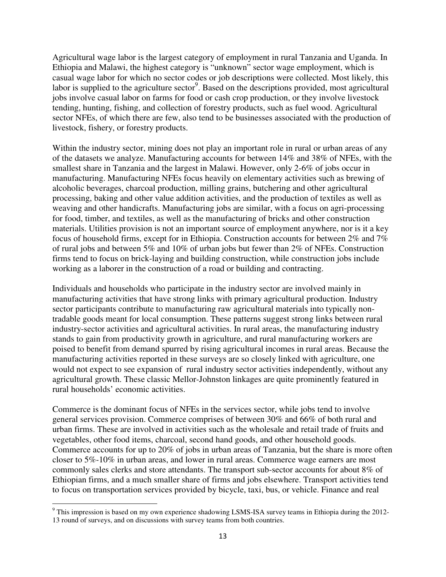Agricultural wage labor is the largest category of employment in rural Tanzania and Uganda. In Ethiopia and Malawi, the highest category is "unknown" sector wage employment, which is casual wage labor for which no sector codes or job descriptions were collected. Most likely, this labor is supplied to the agriculture sector<sup>9</sup>. Based on the descriptions provided, most agricultural jobs involve casual labor on farms for food or cash crop production, or they involve livestock tending, hunting, fishing, and collection of forestry products, such as fuel wood. Agricultural sector NFEs, of which there are few, also tend to be businesses associated with the production of livestock, fishery, or forestry products.

Within the industry sector, mining does not play an important role in rural or urban areas of any of the datasets we analyze. Manufacturing accounts for between 14% and 38% of NFEs, with the smallest share in Tanzania and the largest in Malawi. However, only 2-6% of jobs occur in manufacturing. Manufacturing NFEs focus heavily on elementary activities such as brewing of alcoholic beverages, charcoal production, milling grains, butchering and other agricultural processing, baking and other value addition activities, and the production of textiles as well as weaving and other handicrafts. Manufacturing jobs are similar, with a focus on agri-processing for food, timber, and textiles, as well as the manufacturing of bricks and other construction materials. Utilities provision is not an important source of employment anywhere, nor is it a key focus of household firms, except for in Ethiopia. Construction accounts for between 2% and 7% of rural jobs and between 5% and 10% of urban jobs but fewer than 2% of NFEs. Construction firms tend to focus on brick-laying and building construction, while construction jobs include working as a laborer in the construction of a road or building and contracting.

Individuals and households who participate in the industry sector are involved mainly in manufacturing activities that have strong links with primary agricultural production. Industry sector participants contribute to manufacturing raw agricultural materials into typically nontradable goods meant for local consumption. These patterns suggest strong links between rural industry-sector activities and agricultural activities. In rural areas, the manufacturing industry stands to gain from productivity growth in agriculture, and rural manufacturing workers are poised to benefit from demand spurred by rising agricultural incomes in rural areas. Because the manufacturing activities reported in these surveys are so closely linked with agriculture, one would not expect to see expansion of rural industry sector activities independently, without any agricultural growth. These classic Mellor-Johnston linkages are quite prominently featured in rural households' economic activities.

Commerce is the dominant focus of NFEs in the services sector, while jobs tend to involve general services provision. Commerce comprises of between 30% and 66% of both rural and urban firms. These are involved in activities such as the wholesale and retail trade of fruits and vegetables, other food items, charcoal, second hand goods, and other household goods. Commerce accounts for up to 20% of jobs in urban areas of Tanzania, but the share is more often closer to 5%-10% in urban areas, and lower in rural areas. Commerce wage earners are most commonly sales clerks and store attendants. The transport sub-sector accounts for about 8% of Ethiopian firms, and a much smaller share of firms and jobs elsewhere. Transport activities tend to focus on transportation services provided by bicycle, taxi, bus, or vehicle. Finance and real

-

<sup>&</sup>lt;sup>9</sup> This impression is based on my own experience shadowing LSMS-ISA survey teams in Ethiopia during the 2012-13 round of surveys, and on discussions with survey teams from both countries.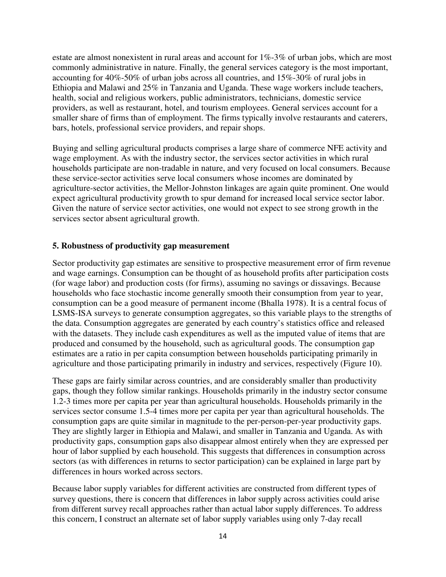estate are almost nonexistent in rural areas and account for 1%-3% of urban jobs, which are most commonly administrative in nature. Finally, the general services category is the most important, accounting for 40%-50% of urban jobs across all countries, and 15%-30% of rural jobs in Ethiopia and Malawi and 25% in Tanzania and Uganda. These wage workers include teachers, health, social and religious workers, public administrators, technicians, domestic service providers, as well as restaurant, hotel, and tourism employees. General services account for a smaller share of firms than of employment. The firms typically involve restaurants and caterers, bars, hotels, professional service providers, and repair shops.

Buying and selling agricultural products comprises a large share of commerce NFE activity and wage employment. As with the industry sector, the services sector activities in which rural households participate are non-tradable in nature, and very focused on local consumers. Because these service-sector activities serve local consumers whose incomes are dominated by agriculture-sector activities, the Mellor-Johnston linkages are again quite prominent. One would expect agricultural productivity growth to spur demand for increased local service sector labor. Given the nature of service sector activities, one would not expect to see strong growth in the services sector absent agricultural growth.

#### **5. Robustness of productivity gap measurement**

Sector productivity gap estimates are sensitive to prospective measurement error of firm revenue and wage earnings. Consumption can be thought of as household profits after participation costs (for wage labor) and production costs (for firms), assuming no savings or dissavings. Because households who face stochastic income generally smooth their consumption from year to year, consumption can be a good measure of permanent income (Bhalla 1978). It is a central focus of LSMS-ISA surveys to generate consumption aggregates, so this variable plays to the strengths of the data. Consumption aggregates are generated by each country's statistics office and released with the datasets. They include cash expenditures as well as the imputed value of items that are produced and consumed by the household, such as agricultural goods. The consumption gap estimates are a ratio in per capita consumption between households participating primarily in agriculture and those participating primarily in industry and services, respectively (Figure 10).

These gaps are fairly similar across countries, and are considerably smaller than productivity gaps, though they follow similar rankings. Households primarily in the industry sector consume 1.2-3 times more per capita per year than agricultural households. Households primarily in the services sector consume 1.5-4 times more per capita per year than agricultural households. The consumption gaps are quite similar in magnitude to the per-person-per-year productivity gaps. They are slightly larger in Ethiopia and Malawi, and smaller in Tanzania and Uganda. As with productivity gaps, consumption gaps also disappear almost entirely when they are expressed per hour of labor supplied by each household. This suggests that differences in consumption across sectors (as with differences in returns to sector participation) can be explained in large part by differences in hours worked across sectors.

Because labor supply variables for different activities are constructed from different types of survey questions, there is concern that differences in labor supply across activities could arise from different survey recall approaches rather than actual labor supply differences. To address this concern, I construct an alternate set of labor supply variables using only 7-day recall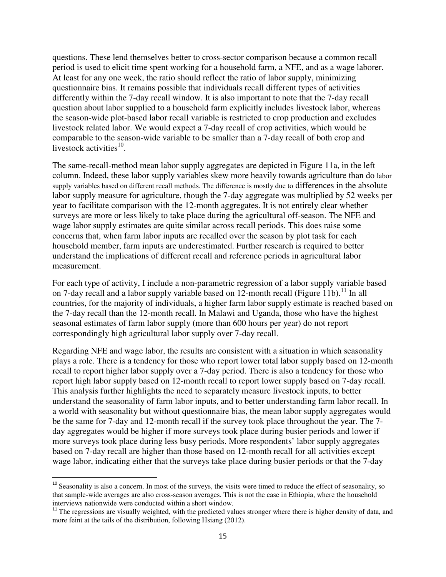questions. These lend themselves better to cross-sector comparison because a common recall period is used to elicit time spent working for a household farm, a NFE, and as a wage laborer. At least for any one week, the ratio should reflect the ratio of labor supply, minimizing questionnaire bias. It remains possible that individuals recall different types of activities differently within the 7-day recall window. It is also important to note that the 7-day recall question about labor supplied to a household farm explicitly includes livestock labor, whereas the season-wide plot-based labor recall variable is restricted to crop production and excludes livestock related labor. We would expect a 7-day recall of crop activities, which would be comparable to the season-wide variable to be smaller than a 7-day recall of both crop and livestock activities $^{10}$ .

The same-recall-method mean labor supply aggregates are depicted in Figure 11a, in the left column. Indeed, these labor supply variables skew more heavily towards agriculture than do labor supply variables based on different recall methods. The difference is mostly due to differences in the absolute labor supply measure for agriculture, though the 7-day aggregate was multiplied by 52 weeks per year to facilitate comparison with the 12-month aggregates. It is not entirely clear whether surveys are more or less likely to take place during the agricultural off-season. The NFE and wage labor supply estimates are quite similar across recall periods. This does raise some concerns that, when farm labor inputs are recalled over the season by plot task for each household member, farm inputs are underestimated. Further research is required to better understand the implications of different recall and reference periods in agricultural labor measurement.

For each type of activity, I include a non-parametric regression of a labor supply variable based on 7-day recall and a labor supply variable based on 12-month recall (Figure 11b).<sup>11</sup> In all countries, for the majority of individuals, a higher farm labor supply estimate is reached based on the 7-day recall than the 12-month recall. In Malawi and Uganda, those who have the highest seasonal estimates of farm labor supply (more than 600 hours per year) do not report correspondingly high agricultural labor supply over 7-day recall.

Regarding NFE and wage labor, the results are consistent with a situation in which seasonality plays a role. There is a tendency for those who report lower total labor supply based on 12-month recall to report higher labor supply over a 7-day period. There is also a tendency for those who report high labor supply based on 12-month recall to report lower supply based on 7-day recall. This analysis further highlights the need to separately measure livestock inputs, to better understand the seasonality of farm labor inputs, and to better understanding farm labor recall. In a world with seasonality but without questionnaire bias, the mean labor supply aggregates would be the same for 7-day and 12-month recall if the survey took place throughout the year. The 7 day aggregates would be higher if more surveys took place during busier periods and lower if more surveys took place during less busy periods. More respondents' labor supply aggregates based on 7-day recall are higher than those based on 12-month recall for all activities except wage labor, indicating either that the surveys take place during busier periods or that the 7-day

<u>.</u>

<sup>&</sup>lt;sup>10</sup> Seasonality is also a concern. In most of the surveys, the visits were timed to reduce the effect of seasonality, so that sample-wide averages are also cross-season averages. This is not the case in Ethiopia, where the household interviews nationwide were conducted within a short window.

 $11$ <sup>11</sup> The regressions are visually weighted, with the predicted values stronger where there is higher density of data, and more feint at the tails of the distribution, following Hsiang (2012).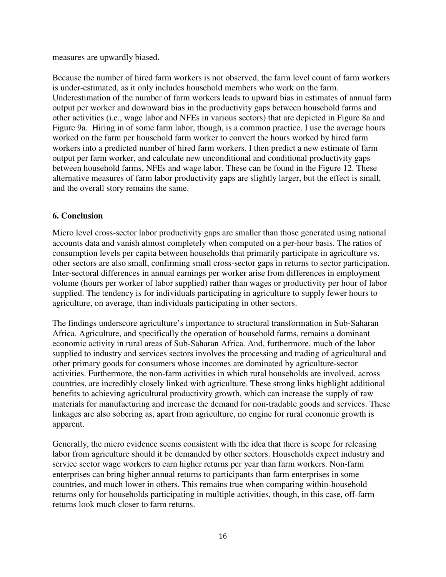measures are upwardly biased.

Because the number of hired farm workers is not observed, the farm level count of farm workers is under-estimated, as it only includes household members who work on the farm. Underestimation of the number of farm workers leads to upward bias in estimates of annual farm output per worker and downward bias in the productivity gaps between household farms and other activities (i.e., wage labor and NFEs in various sectors) that are depicted in Figure 8a and Figure 9a. Hiring in of some farm labor, though, is a common practice. I use the average hours worked on the farm per household farm worker to convert the hours worked by hired farm workers into a predicted number of hired farm workers. I then predict a new estimate of farm output per farm worker, and calculate new unconditional and conditional productivity gaps between household farms, NFEs and wage labor. These can be found in the Figure 12. These alternative measures of farm labor productivity gaps are slightly larger, but the effect is small, and the overall story remains the same.

#### **6. Conclusion**

Micro level cross-sector labor productivity gaps are smaller than those generated using national accounts data and vanish almost completely when computed on a per-hour basis. The ratios of consumption levels per capita between households that primarily participate in agriculture vs. other sectors are also small, confirming small cross-sector gaps in returns to sector participation. Inter-sectoral differences in annual earnings per worker arise from differences in employment volume (hours per worker of labor supplied) rather than wages or productivity per hour of labor supplied. The tendency is for individuals participating in agriculture to supply fewer hours to agriculture, on average, than individuals participating in other sectors.

The findings underscore agriculture's importance to structural transformation in Sub-Saharan Africa. Agriculture, and specifically the operation of household farms, remains a dominant economic activity in rural areas of Sub-Saharan Africa. And, furthermore, much of the labor supplied to industry and services sectors involves the processing and trading of agricultural and other primary goods for consumers whose incomes are dominated by agriculture-sector activities. Furthermore, the non-farm activities in which rural households are involved, across countries, are incredibly closely linked with agriculture. These strong links highlight additional benefits to achieving agricultural productivity growth, which can increase the supply of raw materials for manufacturing and increase the demand for non-tradable goods and services. These linkages are also sobering as, apart from agriculture, no engine for rural economic growth is apparent.

Generally, the micro evidence seems consistent with the idea that there is scope for releasing labor from agriculture should it be demanded by other sectors. Households expect industry and service sector wage workers to earn higher returns per year than farm workers. Non-farm enterprises can bring higher annual returns to participants than farm enterprises in some countries, and much lower in others. This remains true when comparing within-household returns only for households participating in multiple activities, though, in this case, off-farm returns look much closer to farm returns.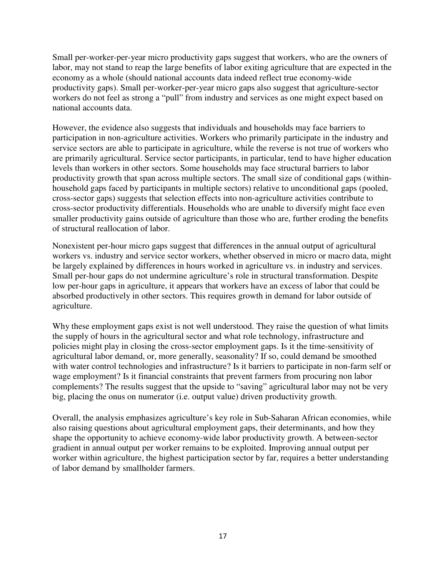Small per-worker-per-year micro productivity gaps suggest that workers, who are the owners of labor, may not stand to reap the large benefits of labor exiting agriculture that are expected in the economy as a whole (should national accounts data indeed reflect true economy-wide productivity gaps). Small per-worker-per-year micro gaps also suggest that agriculture-sector workers do not feel as strong a "pull" from industry and services as one might expect based on national accounts data.

However, the evidence also suggests that individuals and households may face barriers to participation in non-agriculture activities. Workers who primarily participate in the industry and service sectors are able to participate in agriculture, while the reverse is not true of workers who are primarily agricultural. Service sector participants, in particular, tend to have higher education levels than workers in other sectors. Some households may face structural barriers to labor productivity growth that span across multiple sectors. The small size of conditional gaps (withinhousehold gaps faced by participants in multiple sectors) relative to unconditional gaps (pooled, cross-sector gaps) suggests that selection effects into non-agriculture activities contribute to cross-sector productivity differentials. Households who are unable to diversify might face even smaller productivity gains outside of agriculture than those who are, further eroding the benefits of structural reallocation of labor.

Nonexistent per-hour micro gaps suggest that differences in the annual output of agricultural workers vs. industry and service sector workers, whether observed in micro or macro data, might be largely explained by differences in hours worked in agriculture vs. in industry and services. Small per-hour gaps do not undermine agriculture's role in structural transformation. Despite low per-hour gaps in agriculture, it appears that workers have an excess of labor that could be absorbed productively in other sectors. This requires growth in demand for labor outside of agriculture.

Why these employment gaps exist is not well understood. They raise the question of what limits the supply of hours in the agricultural sector and what role technology, infrastructure and policies might play in closing the cross-sector employment gaps. Is it the time-sensitivity of agricultural labor demand, or, more generally, seasonality? If so, could demand be smoothed with water control technologies and infrastructure? Is it barriers to participate in non-farm self or wage employment? Is it financial constraints that prevent farmers from procuring non labor complements? The results suggest that the upside to "saving" agricultural labor may not be very big, placing the onus on numerator (i.e. output value) driven productivity growth.

Overall, the analysis emphasizes agriculture's key role in Sub-Saharan African economies, while also raising questions about agricultural employment gaps, their determinants, and how they shape the opportunity to achieve economy-wide labor productivity growth. A between-sector gradient in annual output per worker remains to be exploited. Improving annual output per worker within agriculture, the highest participation sector by far, requires a better understanding of labor demand by smallholder farmers.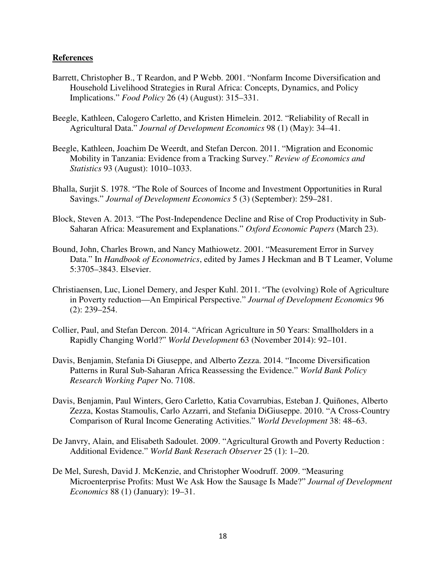#### **References**

- Barrett, Christopher B., T Reardon, and P Webb. 2001. "Nonfarm Income Diversification and Household Livelihood Strategies in Rural Africa: Concepts, Dynamics, and Policy Implications." *Food Policy* 26 (4) (August): 315–331.
- Beegle, Kathleen, Calogero Carletto, and Kristen Himelein. 2012. "Reliability of Recall in Agricultural Data." *Journal of Development Economics* 98 (1) (May): 34–41.
- Beegle, Kathleen, Joachim De Weerdt, and Stefan Dercon. 2011. "Migration and Economic Mobility in Tanzania: Evidence from a Tracking Survey." *Review of Economics and Statistics* 93 (August): 1010–1033.
- Bhalla, Surjit S. 1978. "The Role of Sources of Income and Investment Opportunities in Rural Savings." *Journal of Development Economics* 5 (3) (September): 259–281.
- Block, Steven A. 2013. "The Post-Independence Decline and Rise of Crop Productivity in Sub-Saharan Africa: Measurement and Explanations." *Oxford Economic Papers* (March 23).
- Bound, John, Charles Brown, and Nancy Mathiowetz. 2001. "Measurement Error in Survey Data." In *Handbook of Econometrics*, edited by James J Heckman and B T Leamer, Volume 5:3705–3843. Elsevier.
- Christiaensen, Luc, Lionel Demery, and Jesper Kuhl. 2011. "The (evolving) Role of Agriculture in Poverty reduction—An Empirical Perspective." *Journal of Development Economics* 96 (2): 239–254.
- Collier, Paul, and Stefan Dercon. 2014. "African Agriculture in 50 Years: Smallholders in a Rapidly Changing World?" *World Development* 63 (November 2014): 92–101.
- Davis, Benjamin, Stefania Di Giuseppe, and Alberto Zezza. 2014. "Income Diversification Patterns in Rural Sub-Saharan Africa Reassessing the Evidence." *World Bank Policy Research Working Paper* No. 7108.
- Davis, Benjamin, Paul Winters, Gero Carletto, Katia Covarrubias, Esteban J. Quiñones, Alberto Zezza, Kostas Stamoulis, Carlo Azzarri, and Stefania DiGiuseppe. 2010. "A Cross-Country Comparison of Rural Income Generating Activities." *World Development* 38: 48–63.
- De Janvry, Alain, and Elisabeth Sadoulet. 2009. "Agricultural Growth and Poverty Reduction : Additional Evidence." *World Bank Reserach Observer* 25 (1): 1–20.
- De Mel, Suresh, David J. McKenzie, and Christopher Woodruff. 2009. "Measuring Microenterprise Profits: Must We Ask How the Sausage Is Made?" *Journal of Development Economics* 88 (1) (January): 19–31.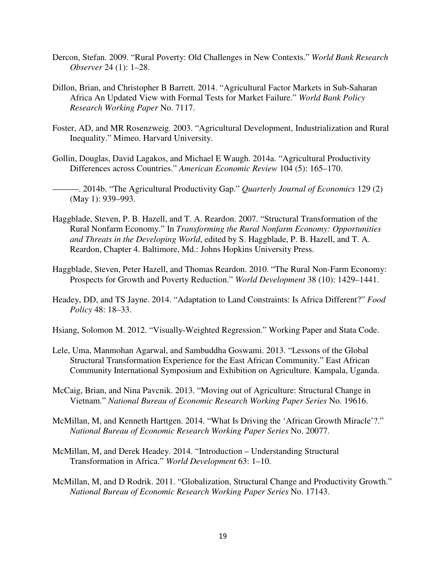- Dercon, Stefan. 2009. "Rural Poverty: Old Challenges in New Contexts." *World Bank Research Observer* 24 (1): 1–28.
- Dillon, Brian, and Christopher B Barrett. 2014. "Agricultural Factor Markets in Sub-Saharan Africa An Updated View with Formal Tests for Market Failure." *World Bank Policy Research Working Paper* No. 7117.
- Foster, AD, and MR Rosenzweig. 2003. "Agricultural Development, Industrialization and Rural Inequality." Mimeo. Harvard University.
- Gollin, Douglas, David Lagakos, and Michael E Waugh. 2014a. "Agricultural Productivity Differences across Countries." *American Economic Review* 104 (5): 165–170.
- ———. 2014b. "The Agricultural Productivity Gap." *Quarterly Journal of Economics* 129 (2) (May 1): 939–993.
- Haggblade, Steven, P. B. Hazell, and T. A. Reardon. 2007. "Structural Transformation of the Rural Nonfarm Economy." In *Transforming the Rural Nonfarm Economy: Opportunities and Threats in the Developing World*, edited by S. Haggblade, P. B. Hazell, and T. A. Reardon, Chapter 4. Baltimore, Md.: Johns Hopkins University Press.
- Haggblade, Steven, Peter Hazell, and Thomas Reardon. 2010. "The Rural Non-Farm Economy: Prospects for Growth and Poverty Reduction." *World Development* 38 (10): 1429–1441.
- Headey, DD, and TS Jayne. 2014. "Adaptation to Land Constraints: Is Africa Different?" *Food Policy* 48: 18–33.
- Hsiang, Solomon M. 2012. "Visually-Weighted Regression." Working Paper and Stata Code.
- Lele, Uma, Manmohan Agarwal, and Sambuddha Goswami. 2013. "Lessons of the Global Structural Transformation Experience for the East African Community." East African Community International Symposium and Exhibition on Agriculture. Kampala, Uganda.
- McCaig, Brian, and Nina Pavcnik. 2013. "Moving out of Agriculture: Structural Change in Vietnam." *National Bureau of Economic Research Working Paper Series* No. 19616.
- McMillan, M, and Kenneth Harttgen. 2014. "What Is Driving the 'African Growth Miracle'?." *National Bureau of Economic Research Working Paper Series* No. 20077.
- McMillan, M, and Derek Headey. 2014. "Introduction Understanding Structural Transformation in Africa." *World Development* 63: 1–10.
- McMillan, M, and D Rodrik. 2011. "Globalization, Structural Change and Productivity Growth." *National Bureau of Economic Research Working Paper Series* No. 17143.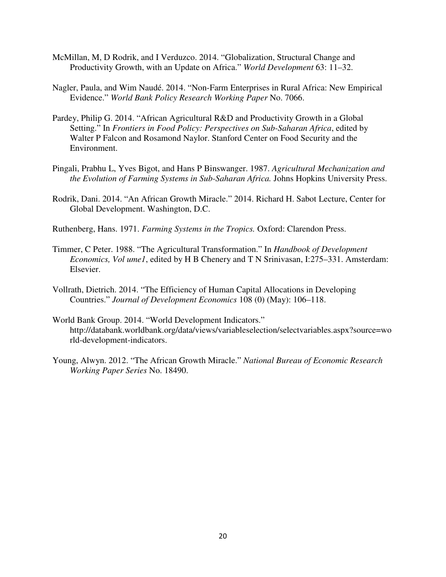- McMillan, M, D Rodrik, and I Verduzco. 2014. "Globalization, Structural Change and Productivity Growth, with an Update on Africa." *World Development* 63: 11–32.
- Nagler, Paula, and Wim Naudé. 2014. "Non-Farm Enterprises in Rural Africa: New Empirical Evidence." *World Bank Policy Research Working Paper* No. 7066.
- Pardey, Philip G. 2014. "African Agricultural R&D and Productivity Growth in a Global Setting." In *Frontiers in Food Policy: Perspectives on Sub-Saharan Africa*, edited by Walter P Falcon and Rosamond Naylor. Stanford Center on Food Security and the Environment.
- Pingali, Prabhu L, Yves Bigot, and Hans P Binswanger. 1987. *Agricultural Mechanization and the Evolution of Farming Systems in Sub-Saharan Africa.* Johns Hopkins University Press.
- Rodrik, Dani. 2014. "An African Growth Miracle." 2014. Richard H. Sabot Lecture, Center for Global Development. Washington, D.C.
- Ruthenberg, Hans. 1971. *Farming Systems in the Tropics.* Oxford: Clarendon Press.
- Timmer, C Peter. 1988. "The Agricultural Transformation." In *Handbook of Development Economics, Vol ume1*, edited by H B Chenery and T N Srinivasan, I:275–331. Amsterdam: Elsevier.
- Vollrath, Dietrich. 2014. "The Efficiency of Human Capital Allocations in Developing Countries." *Journal of Development Economics* 108 (0) (May): 106–118.
- World Bank Group. 2014. "World Development Indicators." http://databank.worldbank.org/data/views/variableselection/selectvariables.aspx?source=wo rld-development-indicators.
- Young, Alwyn. 2012. "The African Growth Miracle." *National Bureau of Economic Research Working Paper Series* No. 18490.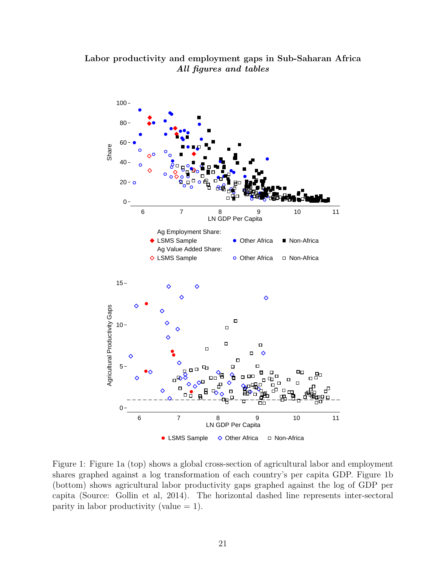### Labor productivity and employment gaps in Sub-Saharan Africa All figures and tables



Figure 1: Figure 1a (top) shows a global cross-section of agricultural labor and employment shares graphed against a log transformation of each country's per capita GDP. Figure 1b (bottom) shows agricultural labor productivity gaps graphed against the log of GDP per capita (Source: Gollin et al, 2014). The horizontal dashed line represents inter-sectoral parity in labor productivity (value  $= 1$ ).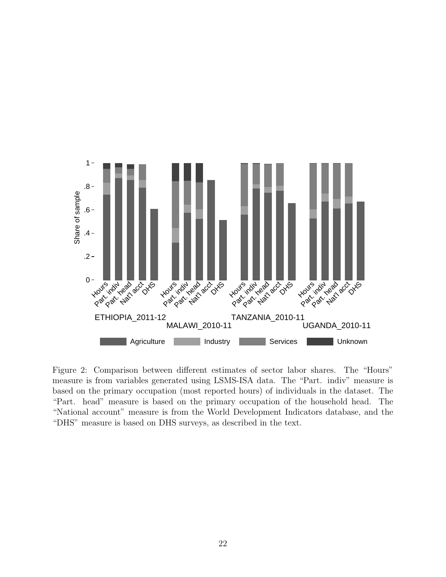

Figure 2: Comparison between different estimates of sector labor shares. The "Hours" measure is from variables generated using LSMS-ISA data. The "Part. indiv" measure is based on the primary occupation (most reported hours) of individuals in the dataset. The "Part. head" measure is based on the primary occupation of the household head. The "National account" measure is from the World Development Indicators database, and the "DHS" measure is based on DHS surveys, as described in the text.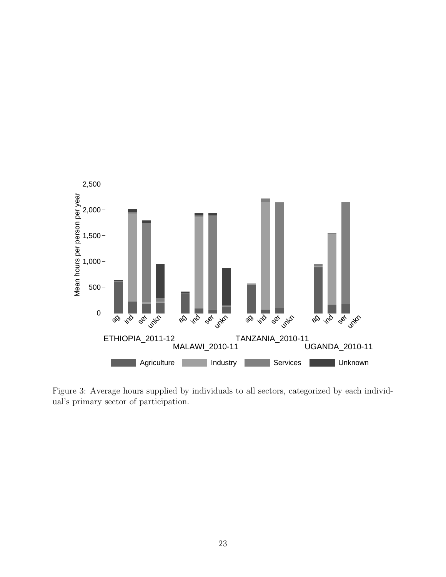

Figure 3: Average hours supplied by individuals to all sectors, categorized by each individual's primary sector of participation.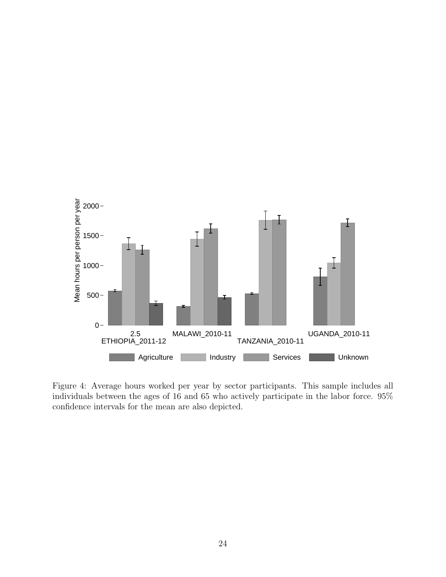

Figure 4: Average hours worked per year by sector participants. This sample includes all individuals between the ages of 16 and 65 who actively participate in the labor force. 95% confidence intervals for the mean are also depicted.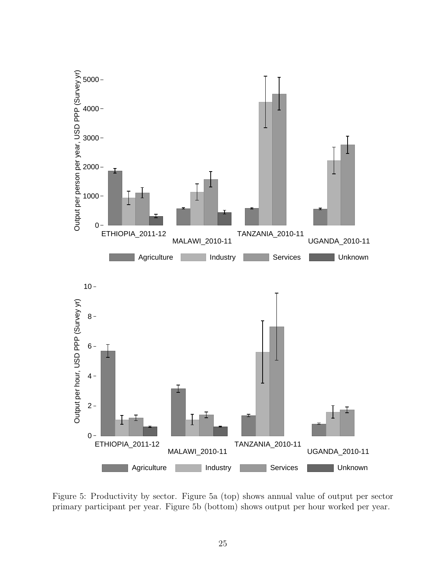

Figure 5: Productivity by sector. Figure 5a (top) shows annual value of output per sector primary participant per year. Figure 5b (bottom) shows output per hour worked per year.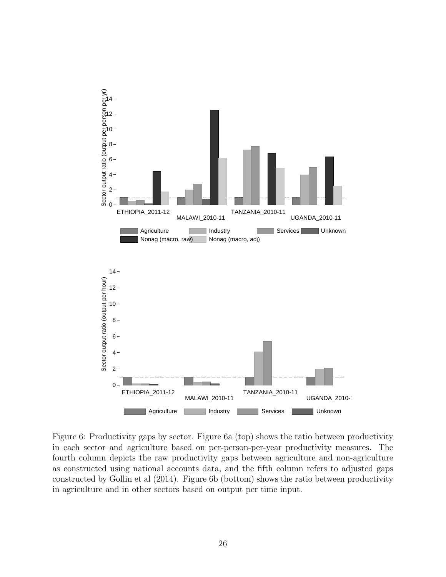

Figure 6: Productivity gaps by sector. Figure 6a (top) shows the ratio between productivity in each sector and agriculture based on per-person-per-year productivity measures. The fourth column depicts the raw productivity gaps between agriculture and non-agriculture as constructed using national accounts data, and the fifth column refers to adjusted gaps constructed by Gollin et al (2014). Figure 6b (bottom) shows the ratio between productivity in agriculture and in other sectors based on output per time input.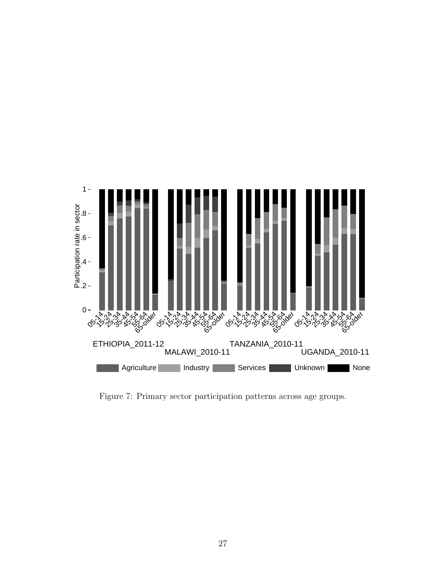

Figure 7: Primary sector participation patterns across age groups.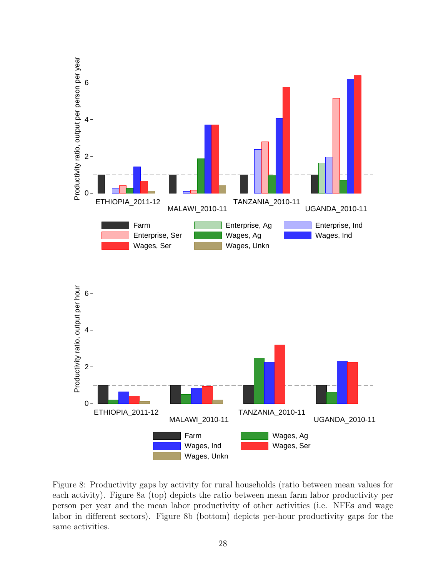

Figure 8: Productivity gaps by activity for rural households (ratio between mean values for each activity). Figure 8a (top) depicts the ratio between mean farm labor productivity per person per year and the mean labor productivity of other activities (i.e. NFEs and wage labor in different sectors). Figure 8b (bottom) depicts per-hour productivity gaps for the same activities.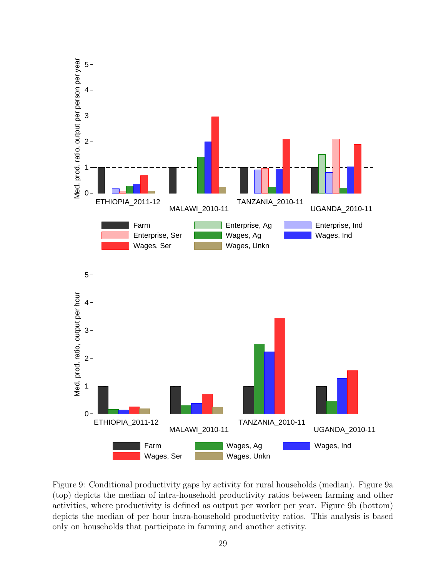

Figure 9: Conditional productivity gaps by activity for rural households (median). Figure 9a (top) depicts the median of intra-household productivity ratios between farming and other activities, where productivity is defined as output per worker per year. Figure 9b (bottom) depicts the median of per hour intra-household productivity ratios. This analysis is based only on households that participate in farming and another activity.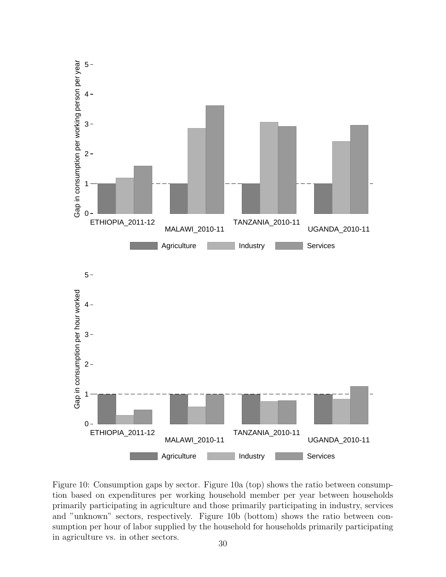

Figure 10: Consumption gaps by sector. Figure 10a (top) shows the ratio between consumption based on expenditures per working household member per year between households primarily participating in agriculture and those primarily participating in industry, services and "unknown" sectors, respectively. Figure 10b (bottom) shows the ratio between consumption per hour of labor supplied by the household for households primarily participating in agriculture vs. in other sectors.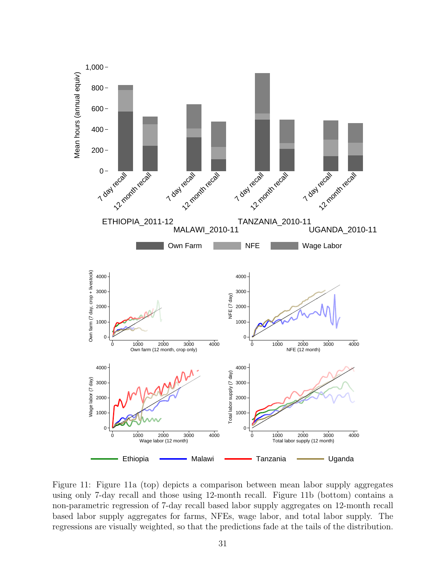

Figure 11: Figure 11a (top) depicts a comparison between mean labor supply aggregates using only 7-day recall and those using 12-month recall. Figure 11b (bottom) contains a non-parametric regression of 7-day recall based labor supply aggregates on 12-month recall based labor supply aggregates for farms, NFEs, wage labor, and total labor supply. The regressions are visually weighted, so that the predictions fade at the tails of the distribution.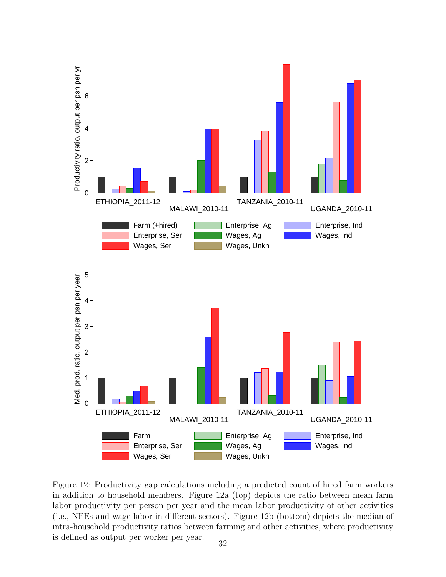

Figure 12: Productivity gap calculations including a predicted count of hired farm workers in addition to household members. Figure 12a (top) depicts the ratio between mean farm labor productivity per person per year and the mean labor productivity of other activities (i.e., NFEs and wage labor in different sectors). Figure 12b (bottom) depicts the median of intra-household productivity ratios between farming and other activities, where productivity is defined as output per worker per year.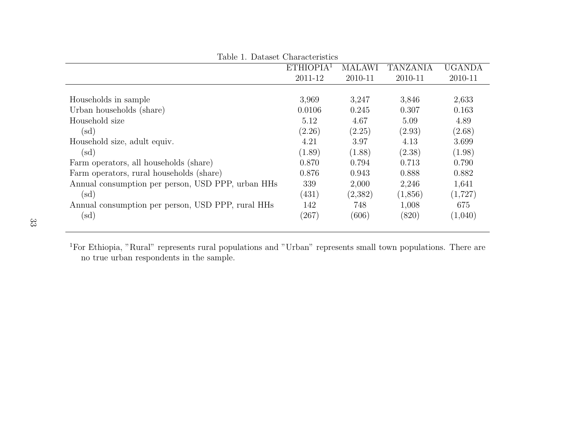| Table 1. Dataset Characteristics                  |                       |               |                 |               |  |  |
|---------------------------------------------------|-----------------------|---------------|-----------------|---------------|--|--|
|                                                   | ETHIOPIA <sup>1</sup> | <b>MALAWI</b> | <b>TANZANIA</b> | <b>UGANDA</b> |  |  |
|                                                   | 2011-12               | 2010-11       | 2010-11         | 2010-11       |  |  |
|                                                   |                       |               |                 |               |  |  |
| Households in sample                              | 3,969                 | 3,247         | 3,846           | 2,633         |  |  |
| Urban households (share)                          | 0.0106                | 0.245         | 0.307           | 0.163         |  |  |
| Household size                                    | 5.12                  | 4.67          | 5.09            | 4.89          |  |  |
| $(\mathrm{sd})$                                   | (2.26)                | (2.25)        | (2.93)          | (2.68)        |  |  |
| Household size, adult equiv.                      | 4.21                  | 3.97          | 4.13            | 3.699         |  |  |
| $(\mathrm{sd})$                                   | (1.89)                | (1.88)        | (2.38)          | (1.98)        |  |  |
| Farm operators, all households (share)            | 0.870                 | 0.794         | 0.713           | 0.790         |  |  |
| Farm operators, rural households (share)          | 0.876                 | 0.943         | 0.888           | 0.882         |  |  |
| Annual consumption per person, USD PPP, urban HHs | 339                   | 2,000         | 2,246           | 1,641         |  |  |
| $(\mathrm{sd})$                                   | (431)                 | (2,382)       | (1,856)         | (1,727)       |  |  |
| Annual consumption per person, USD PPP, rural HHs | 142                   | 748           | 1,008           | 675           |  |  |
| $(\mathrm{sd})$                                   | (267)                 | (606)         | (820)           | (1,040)       |  |  |

<sup>1</sup>For Ethiopia, "Rural" represents rural populations and "Urban" represents small town populations. There areno true urban respondents in the sample.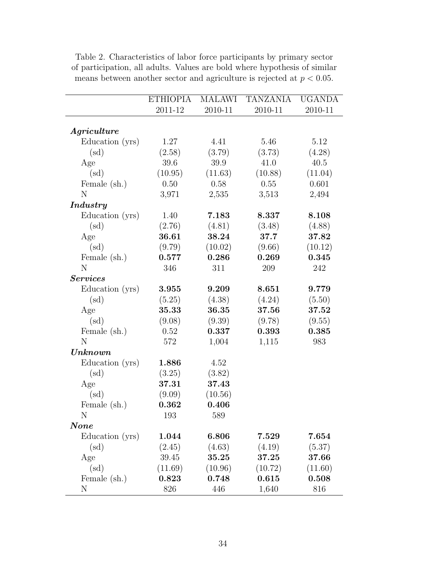|                         | <b>ETHIOPIA</b> | <b>MALAWI</b> | <b>TANZANIA</b> | <b>UGANDA</b> |
|-------------------------|-----------------|---------------|-----------------|---------------|
|                         | 2011-12         | 2010-11       | 2010-11         | 2010-11       |
|                         |                 |               |                 |               |
| Agriculture             |                 |               |                 |               |
| Education (yrs)         | 1.27            | 4.41          | 5.46            | 5.12          |
| $(\mathrm{sd})$         | (2.58)          | (3.79)        | (3.73)          | (4.28)        |
| Age                     | 39.6            | 39.9          | 41.0            | 40.5          |
| (sd)                    | (10.95)         | (11.63)       | (10.88)         | (11.04)       |
| Female (sh.)            | 0.50            | 0.58          | 0.55            | 0.601         |
| N                       | 3,971           | 2,535         | 3,513           | 2,494         |
| <i>Industry</i>         |                 |               |                 |               |
| Education (yrs)         | 1.40            | 7.183         | 8.337           | 8.108         |
| $(\mathrm{sd})$         | (2.76)          | (4.81)        | (3.48)          | (4.88)        |
| Age                     | 36.61           | 38.24         | 37.7            | 37.82         |
| $(\mathrm{sd})$         | (9.79)          | (10.02)       | (9.66)          | (10.12)       |
| Female (sh.)            | 0.577           | 0.286         | 0.269           | 0.345         |
| N                       | 346             | 311           | 209             | 242           |
| <b>Services</b>         |                 |               |                 |               |
| Education (yrs)         | 3.955           | 9.209         | 8.651           | 9.779         |
| $(\mathrm{sd})$         | (5.25)          | (4.38)        | (4.24)          | (5.50)        |
| Age                     | 35.33           | 36.35         | 37.56           | 37.52         |
| $(\mathrm{sd})$         | (9.08)          | (9.39)        | (9.78)          | (9.55)        |
| Female (sh.)            | 0.52            | 0.337         | 0.393           | 0.385         |
| N                       | 572             | 1,004         | 1,115           | 983           |
| Unknown                 |                 |               |                 |               |
| Education (yrs)         | 1.886           | 4.52          |                 |               |
| $(\mathrm{sd})$         | (3.25)          | (3.82)        |                 |               |
| Age                     | 37.31           | 37.43         |                 |               |
| $(\mathrm{sd})$         | (9.09)          | (10.56)       |                 |               |
| Female (sh.)            | 0.362           | 0.406         |                 |               |
| N                       | 193             | 589           |                 |               |
| $\boldsymbol{\it None}$ |                 |               |                 |               |
| Education (yrs)         | 1.044           | 6.806         | 7.529           | 7.654         |
| $(\mathrm{sd})$         | (2.45)          | (4.63)        | (4.19)          | (5.37)        |
| Age                     | 39.45           | 35.25         | 37.25           | 37.66         |
| $(\mathrm{sd})$         | (11.69)         | (10.96)       | (10.72)         | (11.60)       |
| Female (sh.)            | 0.823           | 0.748         | 0.615           | 0.508         |
| N                       | 826             | 446           | 1,640           | 816           |

Table 2. Characteristics of labor force participants by primary sector of participation, all adults. Values are bold where hypothesis of similar means between another sector and agriculture is rejected at  $p < 0.05$ .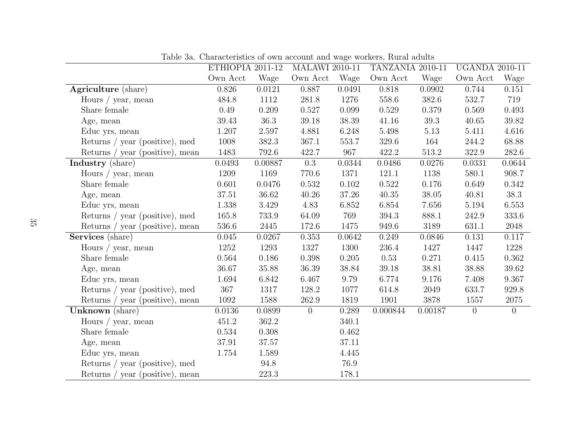|                                 | ETHIOPIA 2011-12 |         | <b>MALAWI 2010-11</b> |          | $\cdots$ $\cdots$ $\cdots$ $\cdots$ $\cdots$ $\cdots$ $\cdots$<br>TANZANIA 2010-11 |         | <b>UGANDA 2010-11</b> |                |
|---------------------------------|------------------|---------|-----------------------|----------|------------------------------------------------------------------------------------|---------|-----------------------|----------------|
|                                 | Own Acct         | Wage    | Own Acct              | Wage     | Own Acct                                                                           | Wage    | Own Acct              | Wage           |
| <b>Agriculture</b> (share)      | 0.826            | 0.0121  | 0.887                 | 0.0491   | 0.818                                                                              | 0.0902  | 0.744                 | 0.151          |
| Hours / year, mean              | 484.8            | 1112    | 281.8                 | 1276     | 558.6                                                                              | 382.6   | 532.7                 | 719            |
| Share female                    | 0.49             | 0.209   | 0.527                 | 0.099    | 0.529                                                                              | 0.379   | 0.569                 | 0.493          |
| Age, mean                       | 39.43            | 36.3    | 39.18                 | 38.39    | 41.16                                                                              | 39.3    | 40.65                 | 39.82          |
| Educ yrs, mean                  | 1.207            | 2.597   | 4.881                 | 6.248    | 5.498                                                                              | 5.13    | 5.411                 | 4.616          |
| Returns / year (positive), med  | 1008             | 382.3   | 367.1                 | 553.7    | 329.6                                                                              | 164     | 244.2                 | 68.88          |
| Returns / year (positive), mean | 1483             | 792.6   | 422.7                 | 967      | 422.2                                                                              | 513.2   | 322.9                 | 282.6          |
| Industry (share)                | 0.0493           | 0.00887 | $\overline{0.3}$      | 0.0344   | 0.0486                                                                             | 0.0276  | 0.0331                | 0.0644         |
| Hours / year, mean              | 1209             | 1169    | 770.6                 | 1371     | 121.1                                                                              | 1138    | 580.1                 | 908.7          |
| Share female                    | 0.601            | 0.0476  | 0.532                 | 0.102    | 0.522                                                                              | 0.176   | 0.649                 | 0.342          |
| Age, mean                       | 37.51            | 36.62   | 40.26                 | 37.26    | 40.35                                                                              | 38.05   | 40.81                 | 38.3           |
| Educ yrs, mean                  | 1.338            | 3.429   | 4.83                  | 6.852    | 6.854                                                                              | 7.656   | 5.194                 | 6.553          |
| Returns / year (positive), med  | 165.8            | 733.9   | 64.09                 | 769      | 394.3                                                                              | 888.1   | 242.9                 | 333.6          |
| Returns / year (positive), mean | 536.6            | 2445    | 172.6                 | 1475     | 949.6                                                                              | 3189    | 631.1                 | 2048           |
| Services (share)                | 0.045            | 0.0267  | 0.353                 | 0.0642   | 0.249                                                                              | 0.0846  | 0.131                 | 0.117          |
| Hours / year, mean              | 1252             | 1293    | 1327                  | 1300     | 236.4                                                                              | 1427    | 1447                  | 1228           |
| Share female                    | 0.564            | 0.186   | 0.398                 | 0.205    | 0.53                                                                               | 0.271   | 0.415                 | 0.362          |
| Age, mean                       | 36.67            | 35.88   | 36.39                 | 38.84    | 39.18                                                                              | 38.81   | 38.88                 | 39.62          |
| Educ yrs, mean                  | 1.694            | 6.842   | 6.467                 | 9.79     | 6.774                                                                              | 9.176   | 7.408                 | 9.367          |
| Returns / year (positive), med  | 367              | 1317    | 128.2                 | 1077     | 614.8                                                                              | 2049    | 633.7                 | 929.8          |
| Returns / year (positive), mean | 1092             | 1588    | 262.9                 | 1819     | 1901                                                                               | 3878    | 1557                  | 2075           |
| Unknown (share)                 | 0.0136           | 0.0899  | $\overline{0}$        | 0.289    | 0.000844                                                                           | 0.00187 | $\overline{0}$        | $\overline{0}$ |
| Hours / year, mean              | 451.2            | 362.2   |                       | 340.1    |                                                                                    |         |                       |                |
| Share female                    | 0.534            | 0.308   |                       | 0.462    |                                                                                    |         |                       |                |
| Age, mean                       | 37.91            | 37.57   |                       | 37.11    |                                                                                    |         |                       |                |
| Educ yrs, mean                  | 1.754            | 1.589   |                       | 4.445    |                                                                                    |         |                       |                |
| Returns / year (positive), med  |                  | 94.8    |                       | $76.9\,$ |                                                                                    |         |                       |                |
| Returns / year (positive), mean |                  | 223.3   |                       | 178.1    |                                                                                    |         |                       |                |

Table 3a. Characteristics of own account and wage workers, Rural adults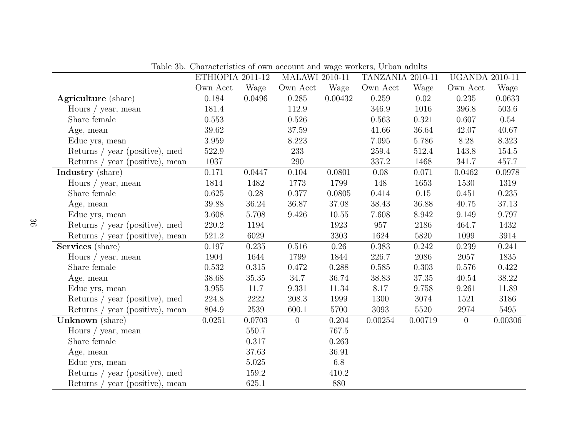|                                 | ETHIOPIA 2011-12 |           | <b>MALAWI 2010-11</b> |          | TANZANIA 2010-11 |           | <b>UGANDA 2010-11</b> |         |
|---------------------------------|------------------|-----------|-----------------------|----------|------------------|-----------|-----------------------|---------|
|                                 | Own Acct         | Wage      | Own Acct              | Wage     | Own Acct         | Wage      | Own Acct              | Wage    |
| Agriculture (share)             | 0.184            | 0.0496    | 0.285                 | 0.00432  | 0.259            | 0.02      | 0.235                 | 0.0633  |
| Hours / year, mean              | 181.4            |           | 112.9                 |          | 346.9            | 1016      | 396.8                 | 503.6   |
| Share female                    | 0.553            |           | 0.526                 |          | 0.563            | 0.321     | 0.607                 | 0.54    |
| Age, mean                       | 39.62            |           | 37.59                 |          | 41.66            | 36.64     | 42.07                 | 40.67   |
| Educ yrs, mean                  | 3.959            |           | 8.223                 |          | 7.095            | 5.786     | 8.28                  | 8.323   |
| Returns / year (positive), med  | 522.9            |           | 233                   |          | 259.4            | 512.4     | 143.8                 | 154.5   |
| Returns / year (positive), mean | $1037\,$         |           | $290\,$               |          | 337.2            | 1468      | 341.7                 | 457.7   |
| Industry (share)                | 0.171            | 0.0447    | 0.104                 | 0.0801   | 0.08             | 0.071     | 0.0462                | 0.0978  |
| Hours / year, mean              | 1814             | 1482      | 1773                  | 1799     | 148              | 1653      | 1530                  | 1319    |
| Share female                    | 0.625            | $0.28\,$  | 0.377                 | 0.0805   | 0.414            | 0.15      | 0.451                 | 0.235   |
| Age, mean                       | 39.88            | 36.24     | 36.87                 | 37.08    | 38.43            | 36.88     | 40.75                 | 37.13   |
| Educ yrs, mean                  | 3.608            | 5.708     | 9.426                 | 10.55    | 7.608            | 8.942     | 9.149                 | 9.797   |
| Returns / year (positive), med  | 220.2            | 1194      |                       | 1923     | 957              | 2186      | 464.7                 | 1432    |
| Returns / year (positive), mean | 521.2            | 6029      |                       | 3303     | 1624             | 5820      | 1099                  | 3914    |
| Services (share)                | 0.197            | 0.235     | 0.516                 | $0.26\,$ | 0.383            | 0.242     | 0.239                 | 0.241   |
| Hours / year, mean              | 1904             | 1644      | 1799                  | 1844     | 226.7            | 2086      | 2057                  | 1835    |
| Share female                    | 0.532            | 0.315     | 0.472                 | 0.288    | 0.585            | 0.303     | 0.576                 | 0.422   |
| Age, mean                       | 38.68            | $35.35\,$ | 34.7                  | 36.74    | 38.83            | $37.35\,$ | 40.54                 | 38.22   |
| Educ yrs, mean                  | $3.955\,$        | 11.7      | 9.331                 | 11.34    | 8.17             | 9.758     | 9.261                 | 11.89   |
| Returns / year (positive), med  | 224.8            | 2222      | 208.3                 | 1999     | 1300             | 3074      | 1521                  | 3186    |
| Returns / year (positive), mean | 804.9            | 2539      | 600.1                 | 5700     | 3093             | 5520      | 2974                  | 5495    |
| Unknown (share)                 | 0.0251           | 0.0703    | $\overline{0}$        | 0.204    | 0.00254          | 0.00719   | $\overline{0}$        | 0.00306 |
| Hours / year, mean              |                  | 550.7     |                       | 767.5    |                  |           |                       |         |
| Share female                    |                  | 0.317     |                       | 0.263    |                  |           |                       |         |
| Age, mean                       |                  | 37.63     |                       | 36.91    |                  |           |                       |         |
| Educ yrs, mean                  |                  | $5.025\,$ |                       | 6.8      |                  |           |                       |         |
| Returns / year (positive), med  |                  | 159.2     |                       | 410.2    |                  |           |                       |         |
| Returns / year (positive), mean |                  | 625.1     |                       | 880      |                  |           |                       |         |

Table 3b. Characteristics of own account and wage workers, Urban adults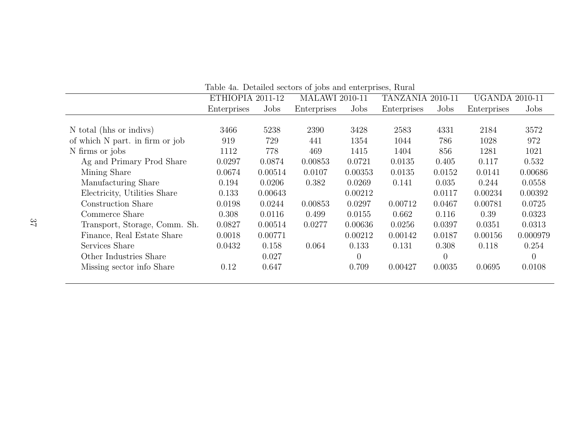| Table 4a. Detailed sectors of jobs and enterprises, Rural |                  |         |                       |         |                  |                |                       |                |
|-----------------------------------------------------------|------------------|---------|-----------------------|---------|------------------|----------------|-----------------------|----------------|
|                                                           | ETHIOPIA 2011-12 |         | <b>MALAWI 2010-11</b> |         | TANZANIA 2010-11 |                | <b>UGANDA 2010-11</b> |                |
|                                                           | Enterprises      | Jobs    | Enterprises           | Jobs    | Enterprises      | Jobs           | Enterprises           | Jobs           |
|                                                           |                  |         |                       |         |                  |                |                       |                |
| N total (hhs or indivs)                                   | 3466             | 5238    | 2390                  | 3428    | 2583             | 4331           | 2184                  | 3572           |
| of which N part. in firm or job                           | 919              | 729     | 441                   | 1354    | 1044             | 786            | 1028                  | 972            |
| N firms or jobs                                           | 1112             | 778     | 469                   | 1415    | 1404             | 856            | 1281                  | 1021           |
| Ag and Primary Prod Share                                 | 0.0297           | 0.0874  | 0.00853               | 0.0721  | 0.0135           | 0.405          | 0.117                 | 0.532          |
| Mining Share                                              | 0.0674           | 0.00514 | 0.0107                | 0.00353 | 0.0135           | 0.0152         | 0.0141                | 0.00686        |
| Manufacturing Share                                       | 0.194            | 0.0206  | 0.382                 | 0.0269  | 0.141            | 0.035          | 0.244                 | 0.0558         |
| Electricity, Utilities Share                              | 0.133            | 0.00643 |                       | 0.00212 |                  | 0.0117         | 0.00234               | 0.00392        |
| Construction Share                                        | 0.0198           | 0.0244  | 0.00853               | 0.0297  | 0.00712          | 0.0467         | 0.00781               | 0.0725         |
| Commerce Share                                            | 0.308            | 0.0116  | 0.499                 | 0.0155  | 0.662            | 0.116          | 0.39                  | 0.0323         |
| Transport, Storage, Comm. Sh.                             | 0.0827           | 0.00514 | 0.0277                | 0.00636 | 0.0256           | 0.0397         | 0.0351                | 0.0313         |
| Finance, Real Estate Share                                | 0.0018           | 0.00771 |                       | 0.00212 | 0.00142          | 0.0187         | 0.00156               | 0.000979       |
| Services Share                                            | 0.0432           | 0.158   | 0.064                 | 0.133   | 0.131            | 0.308          | 0.118                 | 0.254          |
| Other Industries Share                                    |                  | 0.027   |                       |         |                  | $\overline{0}$ |                       | $\overline{0}$ |
| Missing sector info Share                                 | 0.12             | 0.647   |                       | 0.709   | 0.00427          | 0.0035         | 0.0695                | 0.0108         |
|                                                           |                  |         |                       |         |                  |                |                       |                |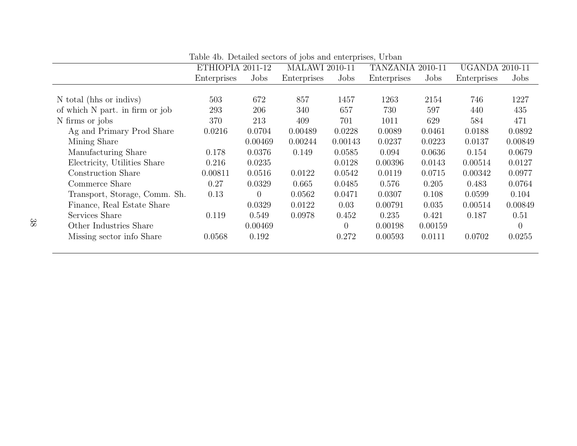|                                 | ETHIOPIA 2011-12 |                | <b>MALAWI 2010-11</b> |         | TANZANIA 2010-11 |         | <b>UGANDA 2010-11</b> |          |
|---------------------------------|------------------|----------------|-----------------------|---------|------------------|---------|-----------------------|----------|
|                                 | Enterprises      | Jobs           | Enterprises           | Jobs    | Enterprises      | Jobs    | Enterprises           | Jobs     |
|                                 |                  |                |                       |         |                  |         |                       |          |
| N total (hhs or indivs)         | 503              | 672            | 857                   | 1457    | 1263             | 2154    | 746                   | 1227     |
| of which N part. in firm or job | 293              | 206            | 340                   | 657     | 730              | 597     | 440                   | 435      |
| N firms or jobs                 | 370              | 213            | 409                   | 701     | 1011             | 629     | 584                   | 471      |
| Ag and Primary Prod Share       | 0.0216           | 0.0704         | 0.00489               | 0.0228  | 0.0089           | 0.0461  | 0.0188                | 0.0892   |
| Mining Share                    |                  | 0.00469        | 0.00244               | 0.00143 | 0.0237           | 0.0223  | 0.0137                | 0.00849  |
| Manufacturing Share             | 0.178            | 0.0376         | 0.149                 | 0.0585  | 0.094            | 0.0636  | 0.154                 | 0.0679   |
| Electricity, Utilities Share    | 0.216            | 0.0235         |                       | 0.0128  | 0.00396          | 0.0143  | 0.00514               | 0.0127   |
| Construction Share              | 0.00811          | 0.0516         | 0.0122                | 0.0542  | 0.0119           | 0.0715  | 0.00342               | 0.0977   |
| Commerce Share                  | 0.27             | 0.0329         | 0.665                 | 0.0485  | 0.576            | 0.205   | 0.483                 | 0.0764   |
| Transport, Storage, Comm. Sh.   | 0.13             | $\overline{0}$ | 0.0562                | 0.0471  | 0.0307           | 0.108   | 0.0599                | 0.104    |
| Finance, Real Estate Share      |                  | 0.0329         | 0.0122                | 0.03    | 0.00791          | 0.035   | 0.00514               | 0.00849  |
| Services Share                  | 0.119            | 0.549          | 0.0978                | 0.452   | 0.235            | 0.421   | 0.187                 | 0.51     |
| Other Industries Share          |                  | 0.00469        |                       | 0       | 0.00198          | 0.00159 |                       | $\Omega$ |
| Missing sector info Share       | 0.0568           | 0.192          |                       | 0.272   | 0.00593          | 0.0111  | 0.0702                | 0.0255   |
|                                 |                  |                |                       |         |                  |         |                       |          |

Table 4b. Detailed sectors of jobs and enterprises, Urban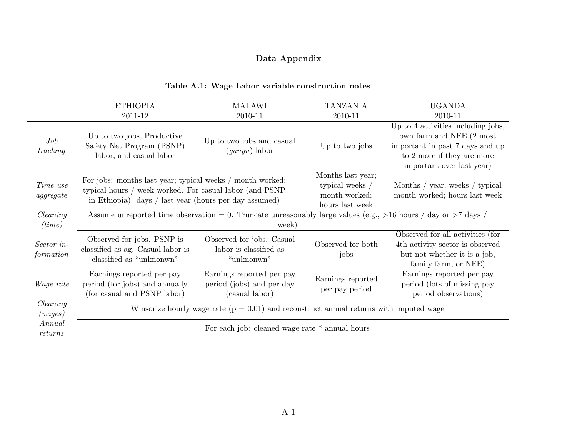# Data Appendix

#### Table A.1: Wage Labor variable construction notes

|                                            | <b>ETHIOPIA</b>                                                                                                | <b>MALAWI</b>                                                                                                                                                                  | <b>TANZANIA</b>                     | <b>UGANDA</b>                                                                                                                                                                        |
|--------------------------------------------|----------------------------------------------------------------------------------------------------------------|--------------------------------------------------------------------------------------------------------------------------------------------------------------------------------|-------------------------------------|--------------------------------------------------------------------------------------------------------------------------------------------------------------------------------------|
|                                            | 2011-12                                                                                                        | 2010-11                                                                                                                                                                        | 2010-11                             | 2010-11                                                                                                                                                                              |
| Job<br>tracking                            | Up to two jobs, Productive<br>Safety Net Program (PSNP)<br>labor, and casual labor                             | Up to two jobs and casual<br>$(ganyu)$ labor                                                                                                                                   | Up to two jobs                      | $\overline{Up}$ to 4 activities including jobs,<br>own farm and NFE $(2 \text{ most})$<br>important in past 7 days and up<br>to 2 more if they are more<br>important over last year) |
| Time use<br>$\,a) \,g \,g \,g \,g \,g \,e$ |                                                                                                                | For jobs: months last year; typical weeks / month worked;<br>typical hours / week worked. For casual labor (and PSNP<br>in Ethiopia): days / last year (hours per day assumed) |                                     | Months / year; weeks / typical<br>month worked; hours last week                                                                                                                      |
| Clearly<br>(time)                          | Assume unreported time observation = 0. Truncate unreasonably large values (e.g., >16 hours / day or >7 days / | week)                                                                                                                                                                          |                                     |                                                                                                                                                                                      |
| Sector in-<br>formation                    | Observed for jobs. PSNP is<br>classified as ag. Casual labor is<br>classified as "unknonwn"                    | Observed for jobs. Casual<br>labor is classified as<br>"unknonwn"                                                                                                              | Observed for both<br>jobs           | Observed for all activities (for<br>4th activity sector is observed<br>but not whether it is a job,<br>family farm, or NFE)                                                          |
| <i>Wage rate</i>                           | Earnings reported per pay<br>period (for jobs) and annually<br>(for casual and PSNP labor)                     | Earnings reported per pay<br>period (jobs) and per day<br>(casual labor)                                                                                                       | Earnings reported<br>per pay period | Earnings reported per pay<br>period (lots of missing pay<br>period observations)                                                                                                     |
| Clearly<br>(wages)                         |                                                                                                                | Winsorize hourly wage rate ( $p = 0.01$ ) and reconstruct annual returns with imputed wage                                                                                     |                                     |                                                                                                                                                                                      |
| Annual<br>returns                          |                                                                                                                | For each job: cleaned wage rate $*$ annual hours                                                                                                                               |                                     |                                                                                                                                                                                      |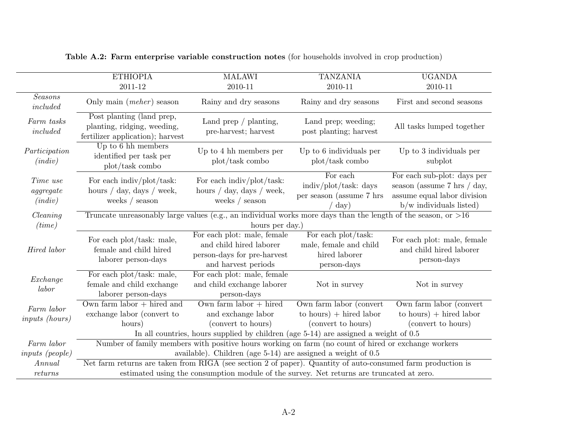|                                           | <b>ETHIOPIA</b>                                                                                             | <b>MALAWI</b>                                                                                                                                                | <b>TANZANIA</b>                                                               | <b>UGANDA</b>                                                                                                                             |  |  |  |  |  |
|-------------------------------------------|-------------------------------------------------------------------------------------------------------------|--------------------------------------------------------------------------------------------------------------------------------------------------------------|-------------------------------------------------------------------------------|-------------------------------------------------------------------------------------------------------------------------------------------|--|--|--|--|--|
|                                           | 2011-12                                                                                                     | 2010-11                                                                                                                                                      | 2010-11                                                                       | 2010-11                                                                                                                                   |  |  |  |  |  |
| <b>Seasons</b><br>included                | Only main $(mcher)$ season                                                                                  | Rainy and dry seasons                                                                                                                                        | Rainy and dry seasons                                                         | First and second seasons                                                                                                                  |  |  |  |  |  |
| Farm tasks<br>included                    | Post planting (land prep,<br>planting, ridging, weeding,<br>fertilizer application); harvest                | Land prep $/$ planting,<br>pre-harvest; harvest                                                                                                              | Land prep; weeding;<br>post planting; harvest                                 | All tasks lumped together                                                                                                                 |  |  |  |  |  |
| Participation<br>(indiv)                  | Up to 6 hh members<br>identified per task per<br>plot/task combo                                            | Up to 4 hh members per<br>plot/task combo                                                                                                                    | Up to 6 individuals per<br>plot/task combo                                    |                                                                                                                                           |  |  |  |  |  |
| Time use<br>$\emph{aggregate}$<br>(indiv) | For each indiv/plot/task:<br>hours $\frac{\ }{4}$ day, days $\frac{\ }{4}$ week,<br>weeks $/$ season        | For each indiv/plot/task:<br>hours $\frac{\ }{4}$ day, days $\frac{\ }{4}$ week,<br>weeks $/$ season                                                         | For each<br>indiv/plot/task: days<br>per season (assume 7 hrs<br>$\rm day)$   | For each sub-plot: days per<br>season (assume $7 \text{ hrs } / \text{ day},$<br>assume equal labor division<br>$b/w$ individuals listed) |  |  |  |  |  |
| Clearly<br>(time)                         |                                                                                                             | Truncate unreasonably large values (e.g., an individual works more days than the length of the season, or $>16$<br>hours per day.)                           |                                                                               |                                                                                                                                           |  |  |  |  |  |
| Hired labor                               | For each plot/task: male,<br>female and child hired<br>laborer person-days                                  | For each plot: male, female<br>and child hired laborer<br>person-days for pre-harvest<br>and harvest periods                                                 | For each plot/task:<br>male, female and child<br>hired laborer<br>person-days | For each plot: male, female<br>and child hired laborer<br>person-days                                                                     |  |  |  |  |  |
| Exchange<br>labor                         | For each plot/task: male,<br>female and child exchange<br>laborer person-days                               | For each plot: male, female<br>and child exchange laborer<br>person-days                                                                                     | Not in survey                                                                 | Not in survey                                                                                                                             |  |  |  |  |  |
| Farm labor<br><i>inputs (hours)</i>       | Own farm $labor + hired$ and<br>exchange labor (convert to<br>hours)                                        | Own farm labor $+$ hired<br>and exchange labor<br>(convert to hours)<br>In all countries, hours supplied by children (age 5-14) are assigned a weight of 0.5 | Own farm labor (convert<br>to hours) $+$ hired labor<br>(convert to hours)    | Own farm labor (convert<br>to hours) $+$ hired labor<br>(convert to hours)                                                                |  |  |  |  |  |
| Farm labor                                |                                                                                                             | Number of family members with positive hours working on farm (no count of hired or exchange workers                                                          |                                                                               |                                                                                                                                           |  |  |  |  |  |
| <i>inputs</i> ( <i>people</i> )           |                                                                                                             | available). Children (age $5-14$ ) are assigned a weight of $0.5$                                                                                            |                                                                               |                                                                                                                                           |  |  |  |  |  |
| Annual                                    | Net farm returns are taken from RIGA (see section 2 of paper). Quantity of auto-consumed farm production is |                                                                                                                                                              |                                                                               |                                                                                                                                           |  |  |  |  |  |
| returns                                   |                                                                                                             | estimated using the consumption module of the survey. Net returns are truncated at zero.                                                                     |                                                                               |                                                                                                                                           |  |  |  |  |  |

Table A.2: Farm enterprise variable construction notes (for households involved in crop production)